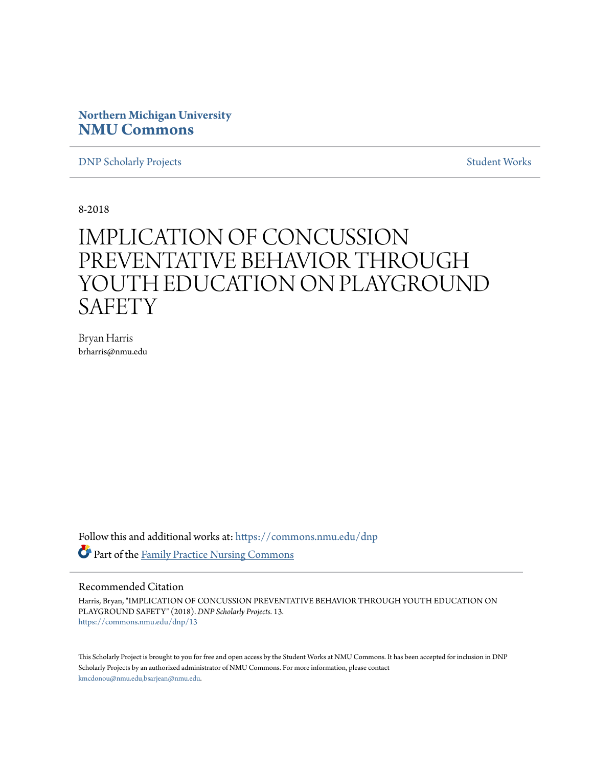### **Northern Michigan University [NMU Commons](https://commons.nmu.edu?utm_source=commons.nmu.edu%2Fdnp%2F13&utm_medium=PDF&utm_campaign=PDFCoverPages)**

**[DNP Scholarly Projects](https://commons.nmu.edu/dnp?utm_source=commons.nmu.edu%2Fdnp%2F13&utm_medium=PDF&utm_campaign=PDFCoverPages)** [Student Works](https://commons.nmu.edu/student_works?utm_source=commons.nmu.edu%2Fdnp%2F13&utm_medium=PDF&utm_campaign=PDFCoverPages)

8-2018

# IMPLICATION OF CONCUSSION PREVENTATIVE BEHAVIOR THROUGH YOUTH EDUCATION ON PLAYGROUND **SAFETY**

Bryan Harris brharris@nmu.edu

Follow this and additional works at: [https://commons.nmu.edu/dnp](https://commons.nmu.edu/dnp?utm_source=commons.nmu.edu%2Fdnp%2F13&utm_medium=PDF&utm_campaign=PDFCoverPages) Part of the [Family Practice Nursing Commons](http://network.bepress.com/hgg/discipline/720?utm_source=commons.nmu.edu%2Fdnp%2F13&utm_medium=PDF&utm_campaign=PDFCoverPages)

#### Recommended Citation

Harris, Bryan, "IMPLICATION OF CONCUSSION PREVENTATIVE BEHAVIOR THROUGH YOUTH EDUCATION ON PLAYGROUND SAFETY" (2018). *DNP Scholarly Projects*. 13. [https://commons.nmu.edu/dnp/13](https://commons.nmu.edu/dnp/13?utm_source=commons.nmu.edu%2Fdnp%2F13&utm_medium=PDF&utm_campaign=PDFCoverPages)

This Scholarly Project is brought to you for free and open access by the Student Works at NMU Commons. It has been accepted for inclusion in DNP Scholarly Projects by an authorized administrator of NMU Commons. For more information, please contact [kmcdonou@nmu.edu,bsarjean@nmu.edu.](mailto:kmcdonou@nmu.edu,bsarjean@nmu.edu)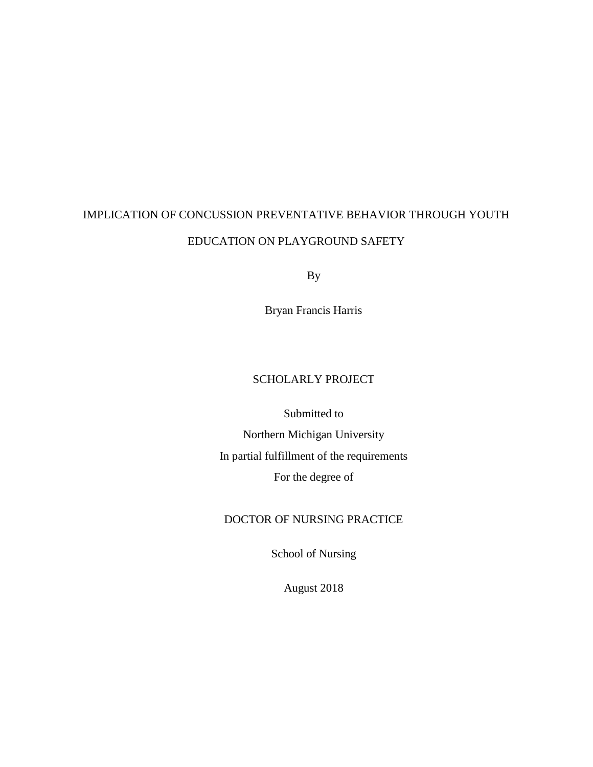# IMPLICATION OF CONCUSSION PREVENTATIVE BEHAVIOR THROUGH YOUTH EDUCATION ON PLAYGROUND SAFETY

By

Bryan Francis Harris

### SCHOLARLY PROJECT

Submitted to Northern Michigan University In partial fulfillment of the requirements For the degree of

DOCTOR OF NURSING PRACTICE

School of Nursing

August 2018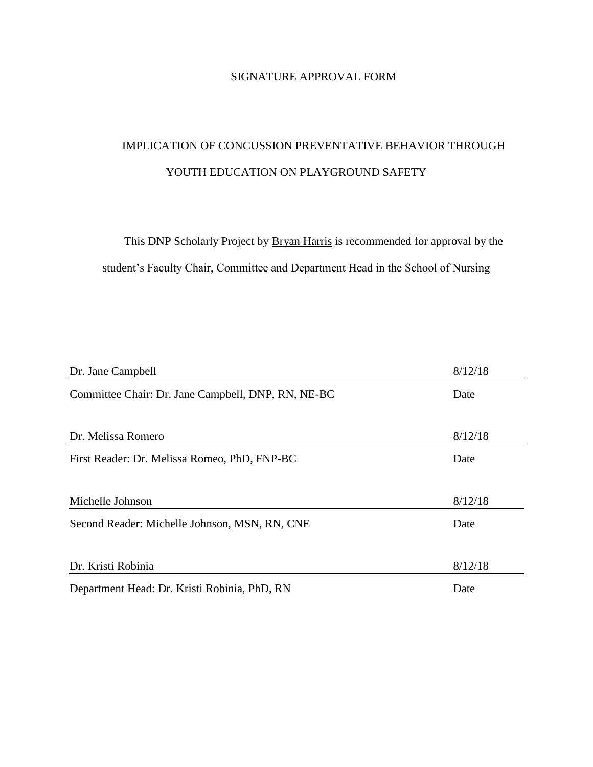### SIGNATURE APPROVAL FORM

# IMPLICATION OF CONCUSSION PREVENTATIVE BEHAVIOR THROUGH YOUTH EDUCATION ON PLAYGROUND SAFETY

This DNP Scholarly Project by Bryan Harris is recommended for approval by the student's Faculty Chair, Committee and Department Head in the School of Nursing

| Dr. Jane Campbell                                  | 8/12/18 |
|----------------------------------------------------|---------|
| Committee Chair: Dr. Jane Campbell, DNP, RN, NE-BC | Date    |
|                                                    |         |
| Dr. Melissa Romero                                 | 8/12/18 |
| First Reader: Dr. Melissa Romeo, PhD, FNP-BC       | Date    |
|                                                    |         |
| Michelle Johnson                                   | 8/12/18 |
| Second Reader: Michelle Johnson, MSN, RN, CNE      | Date    |
|                                                    |         |
| Dr. Kristi Robinia                                 | 8/12/18 |
| Department Head: Dr. Kristi Robinia, PhD, RN       | Date    |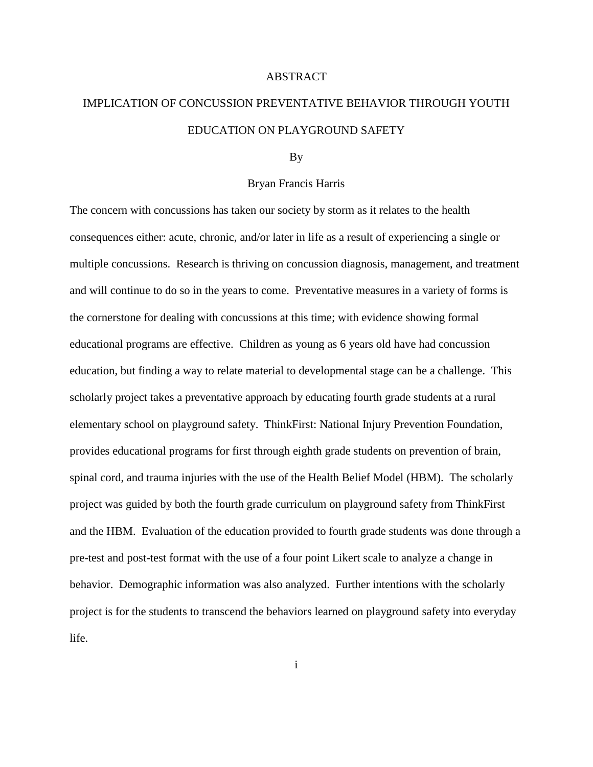#### ABSTRACT

# IMPLICATION OF CONCUSSION PREVENTATIVE BEHAVIOR THROUGH YOUTH EDUCATION ON PLAYGROUND SAFETY

#### By

#### Bryan Francis Harris

The concern with concussions has taken our society by storm as it relates to the health consequences either: acute, chronic, and/or later in life as a result of experiencing a single or multiple concussions. Research is thriving on concussion diagnosis, management, and treatment and will continue to do so in the years to come. Preventative measures in a variety of forms is the cornerstone for dealing with concussions at this time; with evidence showing formal educational programs are effective. Children as young as 6 years old have had concussion education, but finding a way to relate material to developmental stage can be a challenge. This scholarly project takes a preventative approach by educating fourth grade students at a rural elementary school on playground safety. ThinkFirst: National Injury Prevention Foundation, provides educational programs for first through eighth grade students on prevention of brain, spinal cord, and trauma injuries with the use of the Health Belief Model (HBM). The scholarly project was guided by both the fourth grade curriculum on playground safety from ThinkFirst and the HBM. Evaluation of the education provided to fourth grade students was done through a pre-test and post-test format with the use of a four point Likert scale to analyze a change in behavior. Demographic information was also analyzed. Further intentions with the scholarly project is for the students to transcend the behaviors learned on playground safety into everyday life.

i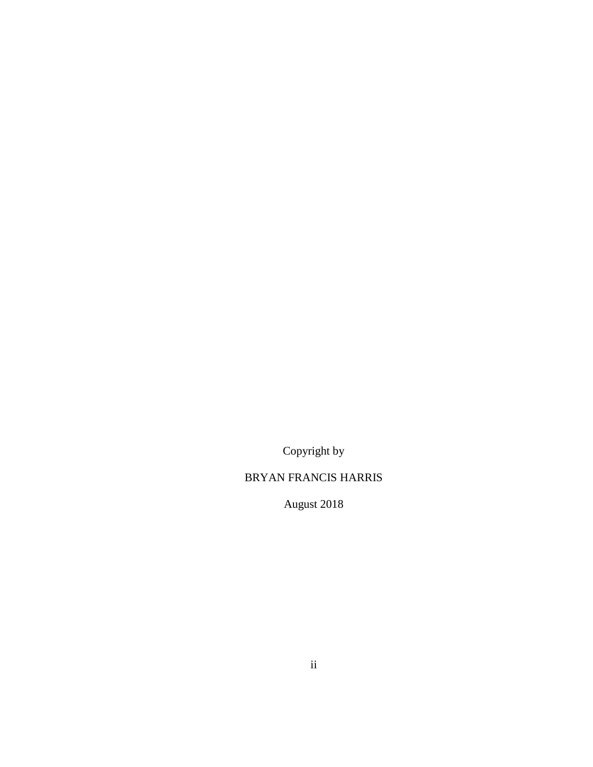Copyright by

## BRYAN FRANCIS HARRIS

August 2018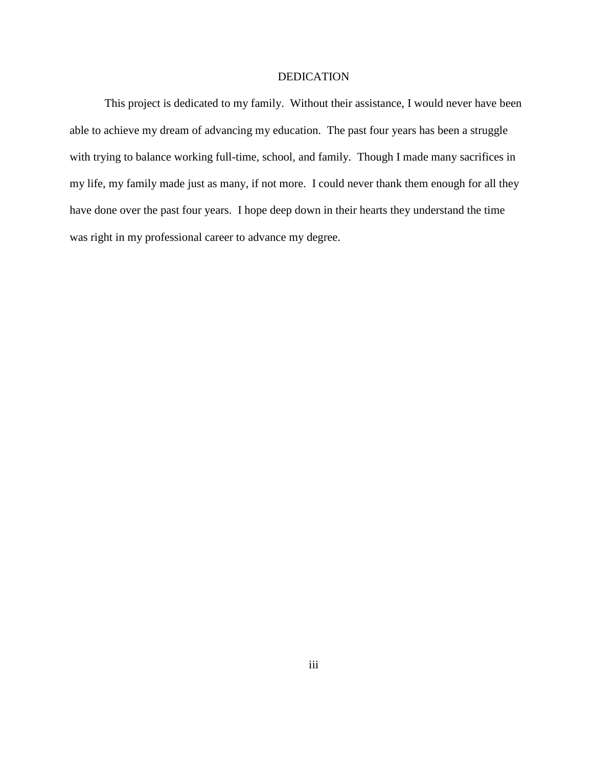#### DEDICATION

This project is dedicated to my family. Without their assistance, I would never have been able to achieve my dream of advancing my education. The past four years has been a struggle with trying to balance working full-time, school, and family. Though I made many sacrifices in my life, my family made just as many, if not more. I could never thank them enough for all they have done over the past four years. I hope deep down in their hearts they understand the time was right in my professional career to advance my degree.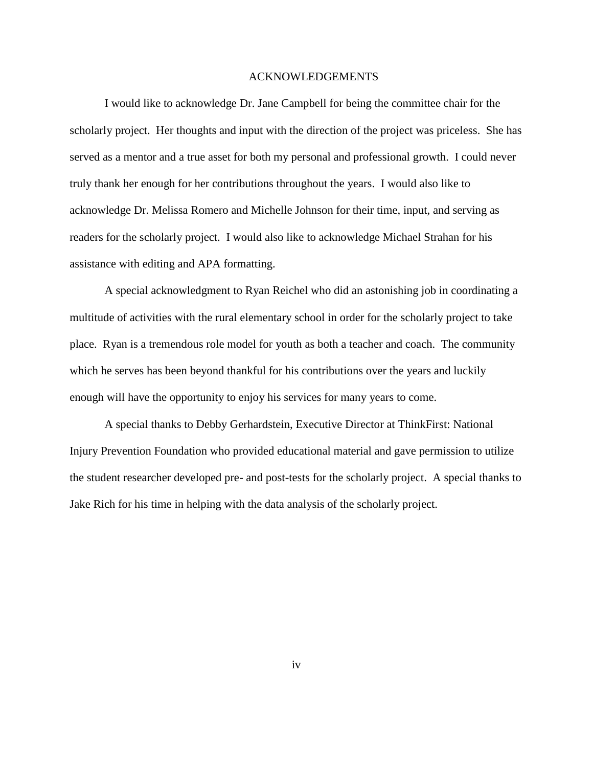#### ACKNOWLEDGEMENTS

I would like to acknowledge Dr. Jane Campbell for being the committee chair for the scholarly project. Her thoughts and input with the direction of the project was priceless. She has served as a mentor and a true asset for both my personal and professional growth. I could never truly thank her enough for her contributions throughout the years. I would also like to acknowledge Dr. Melissa Romero and Michelle Johnson for their time, input, and serving as readers for the scholarly project. I would also like to acknowledge Michael Strahan for his assistance with editing and APA formatting.

A special acknowledgment to Ryan Reichel who did an astonishing job in coordinating a multitude of activities with the rural elementary school in order for the scholarly project to take place. Ryan is a tremendous role model for youth as both a teacher and coach. The community which he serves has been beyond thankful for his contributions over the years and luckily enough will have the opportunity to enjoy his services for many years to come.

A special thanks to Debby Gerhardstein, Executive Director at ThinkFirst: National Injury Prevention Foundation who provided educational material and gave permission to utilize the student researcher developed pre- and post-tests for the scholarly project. A special thanks to Jake Rich for his time in helping with the data analysis of the scholarly project.

iv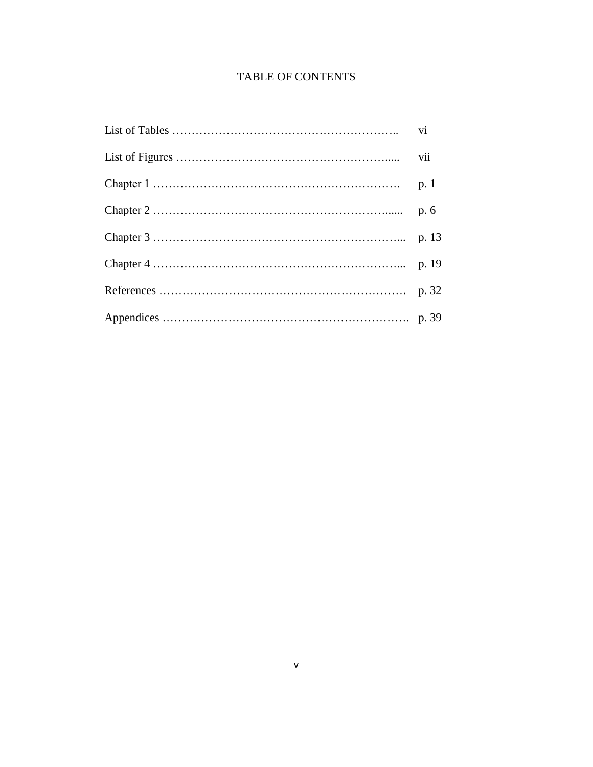### TABLE OF CONTENTS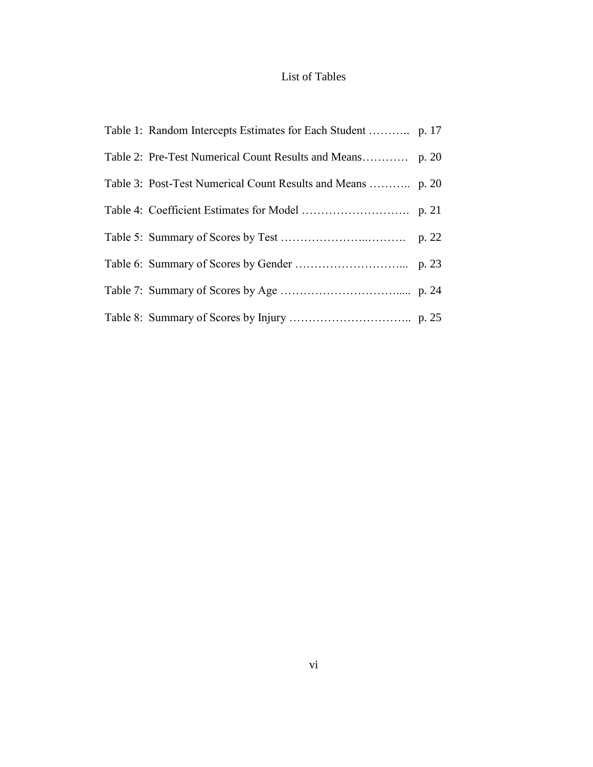### List of Tables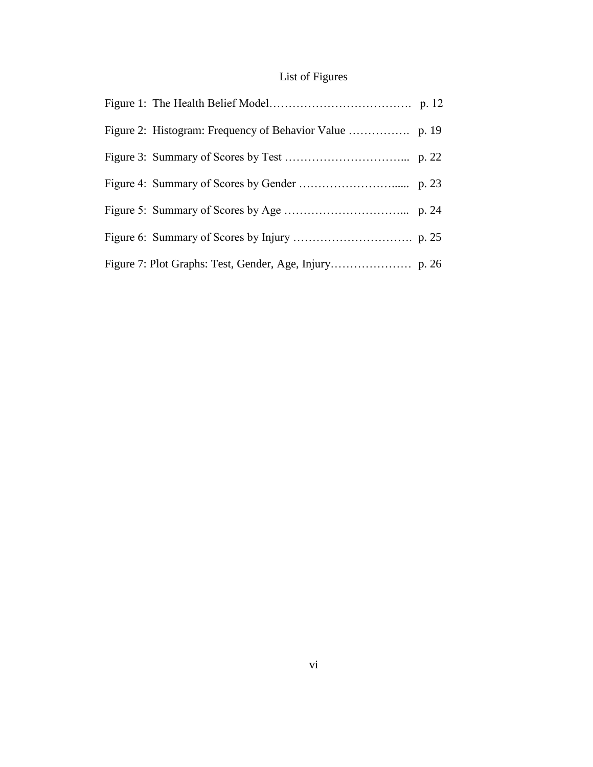# List of Figures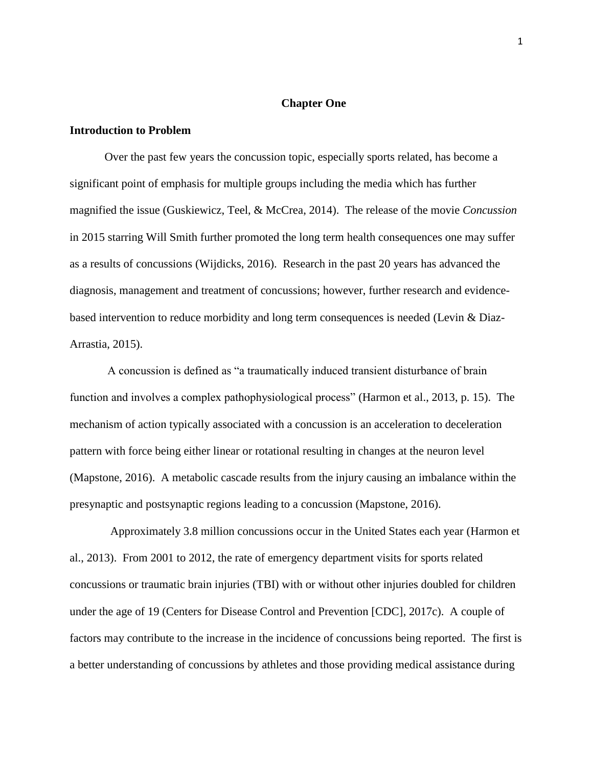#### **Chapter One**

#### **Introduction to Problem**

Over the past few years the concussion topic, especially sports related, has become a significant point of emphasis for multiple groups including the media which has further magnified the issue (Guskiewicz, Teel, & McCrea, 2014). The release of the movie *Concussion*  in 2015 starring Will Smith further promoted the long term health consequences one may suffer as a results of concussions (Wijdicks, 2016). Research in the past 20 years has advanced the diagnosis, management and treatment of concussions; however, further research and evidencebased intervention to reduce morbidity and long term consequences is needed (Levin & Diaz-Arrastia, 2015).

A concussion is defined as "a traumatically induced transient disturbance of brain function and involves a complex pathophysiological process" (Harmon et al., 2013, p. 15). The mechanism of action typically associated with a concussion is an acceleration to deceleration pattern with force being either linear or rotational resulting in changes at the neuron level (Mapstone, 2016). A metabolic cascade results from the injury causing an imbalance within the presynaptic and postsynaptic regions leading to a concussion (Mapstone, 2016).

 Approximately 3.8 million concussions occur in the United States each year (Harmon et al., 2013). From 2001 to 2012, the rate of emergency department visits for sports related concussions or traumatic brain injuries (TBI) with or without other injuries doubled for children under the age of 19 (Centers for Disease Control and Prevention [CDC], 2017c). A couple of factors may contribute to the increase in the incidence of concussions being reported. The first is a better understanding of concussions by athletes and those providing medical assistance during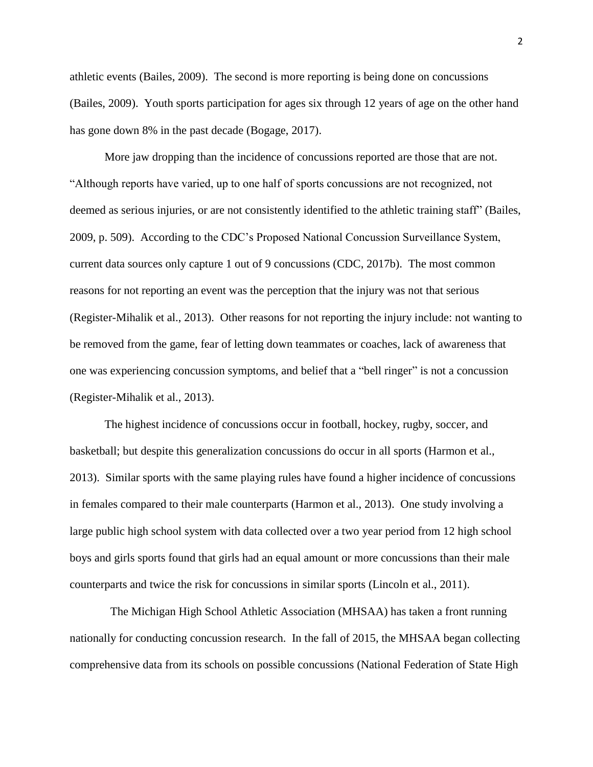athletic events (Bailes, 2009). The second is more reporting is being done on concussions (Bailes, 2009). Youth sports participation for ages six through 12 years of age on the other hand has gone down 8% in the past decade (Bogage, 2017).

More jaw dropping than the incidence of concussions reported are those that are not. "Although reports have varied, up to one half of sports concussions are not recognized, not deemed as serious injuries, or are not consistently identified to the athletic training staff" (Bailes, 2009, p. 509). According to the CDC's Proposed National Concussion Surveillance System, current data sources only capture 1 out of 9 concussions (CDC, 2017b). The most common reasons for not reporting an event was the perception that the injury was not that serious (Register-Mihalik et al., 2013). Other reasons for not reporting the injury include: not wanting to be removed from the game, fear of letting down teammates or coaches, lack of awareness that one was experiencing concussion symptoms, and belief that a "bell ringer" is not a concussion (Register-Mihalik et al., 2013).

The highest incidence of concussions occur in football, hockey, rugby, soccer, and basketball; but despite this generalization concussions do occur in all sports (Harmon et al., 2013). Similar sports with the same playing rules have found a higher incidence of concussions in females compared to their male counterparts (Harmon et al., 2013). One study involving a large public high school system with data collected over a two year period from 12 high school boys and girls sports found that girls had an equal amount or more concussions than their male counterparts and twice the risk for concussions in similar sports (Lincoln et al., 2011).

The Michigan High School Athletic Association (MHSAA) has taken a front running nationally for conducting concussion research. In the fall of 2015, the MHSAA began collecting comprehensive data from its schools on possible concussions (National Federation of State High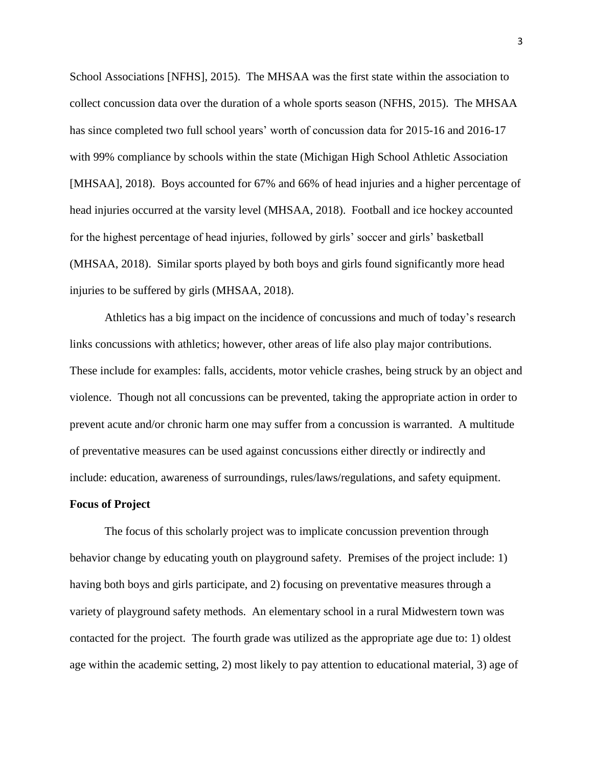School Associations [NFHS], 2015). The MHSAA was the first state within the association to collect concussion data over the duration of a whole sports season (NFHS, 2015). The MHSAA has since completed two full school years' worth of concussion data for 2015-16 and 2016-17 with 99% compliance by schools within the state (Michigan High School Athletic Association [MHSAA], 2018). Boys accounted for 67% and 66% of head injuries and a higher percentage of head injuries occurred at the varsity level (MHSAA, 2018). Football and ice hockey accounted for the highest percentage of head injuries, followed by girls' soccer and girls' basketball (MHSAA, 2018). Similar sports played by both boys and girls found significantly more head injuries to be suffered by girls (MHSAA, 2018).

Athletics has a big impact on the incidence of concussions and much of today's research links concussions with athletics; however, other areas of life also play major contributions. These include for examples: falls, accidents, motor vehicle crashes, being struck by an object and violence. Though not all concussions can be prevented, taking the appropriate action in order to prevent acute and/or chronic harm one may suffer from a concussion is warranted. A multitude of preventative measures can be used against concussions either directly or indirectly and include: education, awareness of surroundings, rules/laws/regulations, and safety equipment.

#### **Focus of Project**

The focus of this scholarly project was to implicate concussion prevention through behavior change by educating youth on playground safety. Premises of the project include: 1) having both boys and girls participate, and 2) focusing on preventative measures through a variety of playground safety methods. An elementary school in a rural Midwestern town was contacted for the project. The fourth grade was utilized as the appropriate age due to: 1) oldest age within the academic setting, 2) most likely to pay attention to educational material, 3) age of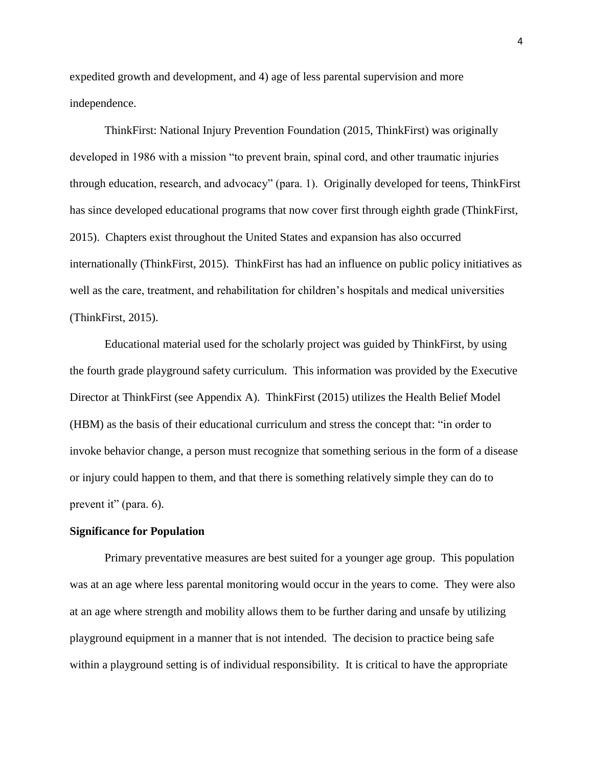expedited growth and development, and 4) age of less parental supervision and more independence.

ThinkFirst: National Injury Prevention Foundation (2015, ThinkFirst) was originally developed in 1986 with a mission "to prevent brain, spinal cord, and other traumatic injuries through education, research, and advocacy" (para. 1). Originally developed for teens, ThinkFirst has since developed educational programs that now cover first through eighth grade (ThinkFirst, 2015). Chapters exist throughout the United States and expansion has also occurred internationally (ThinkFirst, 2015). ThinkFirst has had an influence on public policy initiatives as well as the care, treatment, and rehabilitation for children's hospitals and medical universities (ThinkFirst, 2015).

Educational material used for the scholarly project was guided by ThinkFirst, by using the fourth grade playground safety curriculum. This information was provided by the Executive Director at ThinkFirst (see Appendix A). ThinkFirst (2015) utilizes the Health Belief Model (HBM) as the basis of their educational curriculum and stress the concept that: "in order to invoke behavior change, a person must recognize that something serious in the form of a disease or injury could happen to them, and that there is something relatively simple they can do to prevent it" (para. 6).

#### **Significance for Population**

Primary preventative measures are best suited for a younger age group. This population was at an age where less parental monitoring would occur in the years to come. They were also at an age where strength and mobility allows them to be further daring and unsafe by utilizing playground equipment in a manner that is not intended. The decision to practice being safe within a playground setting is of individual responsibility. It is critical to have the appropriate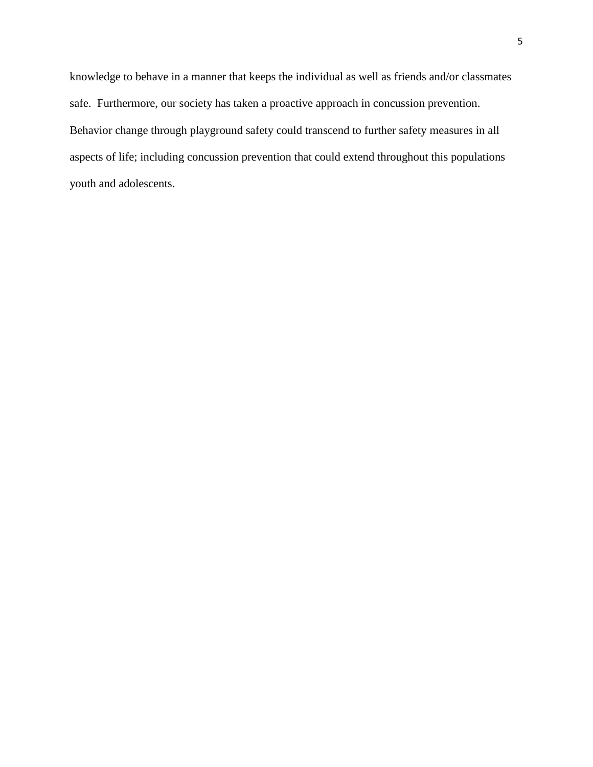knowledge to behave in a manner that keeps the individual as well as friends and/or classmates safe. Furthermore, our society has taken a proactive approach in concussion prevention. Behavior change through playground safety could transcend to further safety measures in all aspects of life; including concussion prevention that could extend throughout this populations youth and adolescents.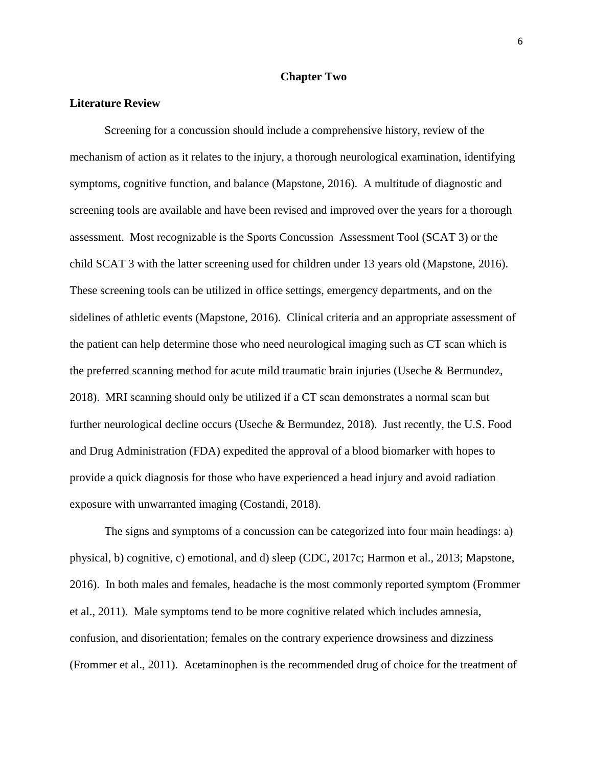#### **Chapter Two**

#### **Literature Review**

Screening for a concussion should include a comprehensive history, review of the mechanism of action as it relates to the injury, a thorough neurological examination, identifying symptoms, cognitive function, and balance (Mapstone, 2016). A multitude of diagnostic and screening tools are available and have been revised and improved over the years for a thorough assessment. Most recognizable is the Sports Concussion Assessment Tool (SCAT 3) or the child SCAT 3 with the latter screening used for children under 13 years old (Mapstone, 2016). These screening tools can be utilized in office settings, emergency departments, and on the sidelines of athletic events (Mapstone, 2016). Clinical criteria and an appropriate assessment of the patient can help determine those who need neurological imaging such as CT scan which is the preferred scanning method for acute mild traumatic brain injuries (Useche & Bermundez, 2018). MRI scanning should only be utilized if a CT scan demonstrates a normal scan but further neurological decline occurs (Useche & Bermundez, 2018). Just recently, the U.S. Food and Drug Administration (FDA) expedited the approval of a blood biomarker with hopes to provide a quick diagnosis for those who have experienced a head injury and avoid radiation exposure with unwarranted imaging (Costandi, 2018).

The signs and symptoms of a concussion can be categorized into four main headings: a) physical, b) cognitive, c) emotional, and d) sleep (CDC, 2017c; Harmon et al., 2013; Mapstone, 2016). In both males and females, headache is the most commonly reported symptom (Frommer et al., 2011). Male symptoms tend to be more cognitive related which includes amnesia, confusion, and disorientation; females on the contrary experience drowsiness and dizziness (Frommer et al., 2011). Acetaminophen is the recommended drug of choice for the treatment of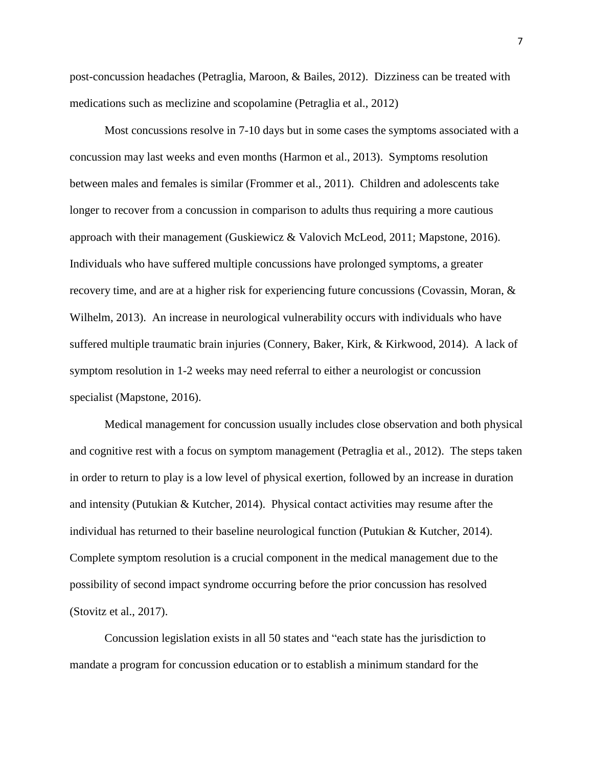post-concussion headaches (Petraglia, Maroon, & Bailes, 2012). Dizziness can be treated with medications such as meclizine and scopolamine (Petraglia et al., 2012)

Most concussions resolve in 7-10 days but in some cases the symptoms associated with a concussion may last weeks and even months (Harmon et al., 2013). Symptoms resolution between males and females is similar (Frommer et al., 2011). Children and adolescents take longer to recover from a concussion in comparison to adults thus requiring a more cautious approach with their management (Guskiewicz & Valovich McLeod, 2011; Mapstone, 2016). Individuals who have suffered multiple concussions have prolonged symptoms, a greater recovery time, and are at a higher risk for experiencing future concussions (Covassin, Moran, & Wilhelm, 2013). An increase in neurological vulnerability occurs with individuals who have suffered multiple traumatic brain injuries (Connery, Baker, Kirk, & Kirkwood, 2014). A lack of symptom resolution in 1-2 weeks may need referral to either a neurologist or concussion specialist (Mapstone, 2016).

Medical management for concussion usually includes close observation and both physical and cognitive rest with a focus on symptom management (Petraglia et al., 2012). The steps taken in order to return to play is a low level of physical exertion, followed by an increase in duration and intensity (Putukian & Kutcher, 2014). Physical contact activities may resume after the individual has returned to their baseline neurological function (Putukian & Kutcher, 2014). Complete symptom resolution is a crucial component in the medical management due to the possibility of second impact syndrome occurring before the prior concussion has resolved (Stovitz et al., 2017).

Concussion legislation exists in all 50 states and "each state has the jurisdiction to mandate a program for concussion education or to establish a minimum standard for the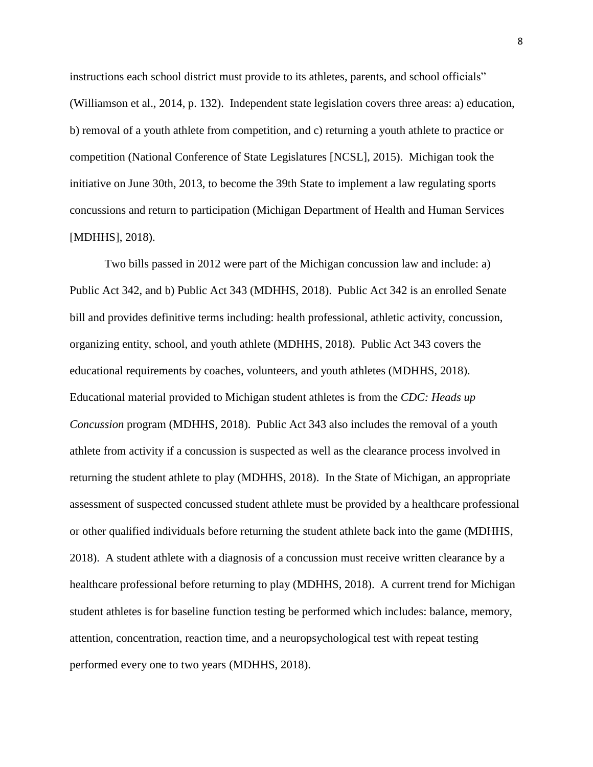instructions each school district must provide to its athletes, parents, and school officials" (Williamson et al., 2014, p. 132). Independent state legislation covers three areas: a) education, b) removal of a youth athlete from competition, and c) returning a youth athlete to practice or competition (National Conference of State Legislatures [NCSL], 2015). Michigan took the initiative on June 30th, 2013, to become the 39th State to implement a law regulating sports concussions and return to participation (Michigan Department of Health and Human Services [MDHHS], 2018).

Two bills passed in 2012 were part of the Michigan concussion law and include: a) Public Act 342, and b) Public Act 343 (MDHHS, 2018). Public Act 342 is an enrolled Senate bill and provides definitive terms including: health professional, athletic activity, concussion, organizing entity, school, and youth athlete (MDHHS, 2018). Public Act 343 covers the educational requirements by coaches, volunteers, and youth athletes (MDHHS, 2018). Educational material provided to Michigan student athletes is from the *CDC: Heads up Concussion* program (MDHHS, 2018). Public Act 343 also includes the removal of a youth athlete from activity if a concussion is suspected as well as the clearance process involved in returning the student athlete to play (MDHHS, 2018). In the State of Michigan, an appropriate assessment of suspected concussed student athlete must be provided by a healthcare professional or other qualified individuals before returning the student athlete back into the game (MDHHS, 2018). A student athlete with a diagnosis of a concussion must receive written clearance by a healthcare professional before returning to play (MDHHS, 2018). A current trend for Michigan student athletes is for baseline function testing be performed which includes: balance, memory, attention, concentration, reaction time, and a neuropsychological test with repeat testing performed every one to two years (MDHHS, 2018).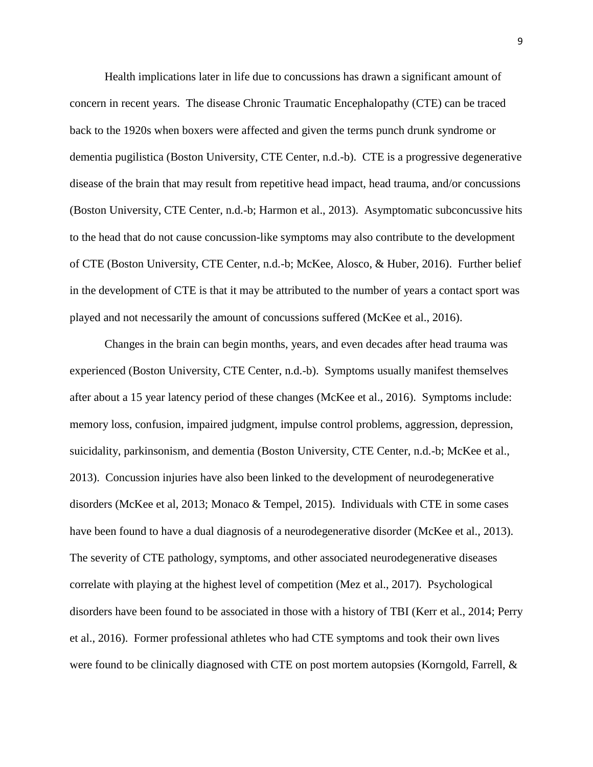Health implications later in life due to concussions has drawn a significant amount of concern in recent years. The disease Chronic Traumatic Encephalopathy (CTE) can be traced back to the 1920s when boxers were affected and given the terms punch drunk syndrome or dementia pugilistica (Boston University, CTE Center, n.d.-b). CTE is a progressive degenerative disease of the brain that may result from repetitive head impact, head trauma, and/or concussions (Boston University, CTE Center, n.d.-b; Harmon et al., 2013). Asymptomatic subconcussive hits to the head that do not cause concussion-like symptoms may also contribute to the development of CTE (Boston University, CTE Center, n.d.-b; McKee, Alosco, & Huber, 2016). Further belief in the development of CTE is that it may be attributed to the number of years a contact sport was played and not necessarily the amount of concussions suffered (McKee et al., 2016).

Changes in the brain can begin months, years, and even decades after head trauma was experienced (Boston University, CTE Center, n.d.-b). Symptoms usually manifest themselves after about a 15 year latency period of these changes (McKee et al., 2016). Symptoms include: memory loss, confusion, impaired judgment, impulse control problems, aggression, depression, suicidality, parkinsonism, and dementia (Boston University, CTE Center, n.d.-b; McKee et al., 2013). Concussion injuries have also been linked to the development of neurodegenerative disorders (McKee et al, 2013; Monaco & Tempel, 2015). Individuals with CTE in some cases have been found to have a dual diagnosis of a neurodegenerative disorder (McKee et al., 2013). The severity of CTE pathology, symptoms, and other associated neurodegenerative diseases correlate with playing at the highest level of competition (Mez et al., 2017). Psychological disorders have been found to be associated in those with a history of TBI (Kerr et al., 2014; Perry et al., 2016). Former professional athletes who had CTE symptoms and took their own lives were found to be clinically diagnosed with CTE on post mortem autopsies (Korngold, Farrell, &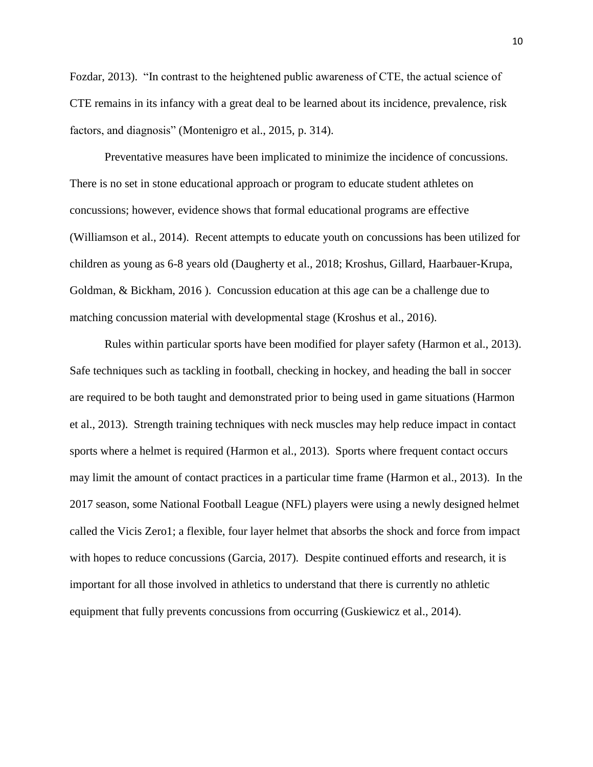Fozdar, 2013). "In contrast to the heightened public awareness of CTE, the actual science of CTE remains in its infancy with a great deal to be learned about its incidence, prevalence, risk factors, and diagnosis" (Montenigro et al., 2015, p. 314).

Preventative measures have been implicated to minimize the incidence of concussions. There is no set in stone educational approach or program to educate student athletes on concussions; however, evidence shows that formal educational programs are effective (Williamson et al., 2014). Recent attempts to educate youth on concussions has been utilized for children as young as 6-8 years old (Daugherty et al., 2018; Kroshus, Gillard, Haarbauer-Krupa, Goldman, & Bickham, 2016 ). Concussion education at this age can be a challenge due to matching concussion material with developmental stage (Kroshus et al., 2016).

Rules within particular sports have been modified for player safety (Harmon et al., 2013). Safe techniques such as tackling in football, checking in hockey, and heading the ball in soccer are required to be both taught and demonstrated prior to being used in game situations (Harmon et al., 2013). Strength training techniques with neck muscles may help reduce impact in contact sports where a helmet is required (Harmon et al., 2013). Sports where frequent contact occurs may limit the amount of contact practices in a particular time frame (Harmon et al., 2013). In the 2017 season, some National Football League (NFL) players were using a newly designed helmet called the Vicis Zero1; a flexible, four layer helmet that absorbs the shock and force from impact with hopes to reduce concussions (Garcia, 2017). Despite continued efforts and research, it is important for all those involved in athletics to understand that there is currently no athletic equipment that fully prevents concussions from occurring (Guskiewicz et al., 2014).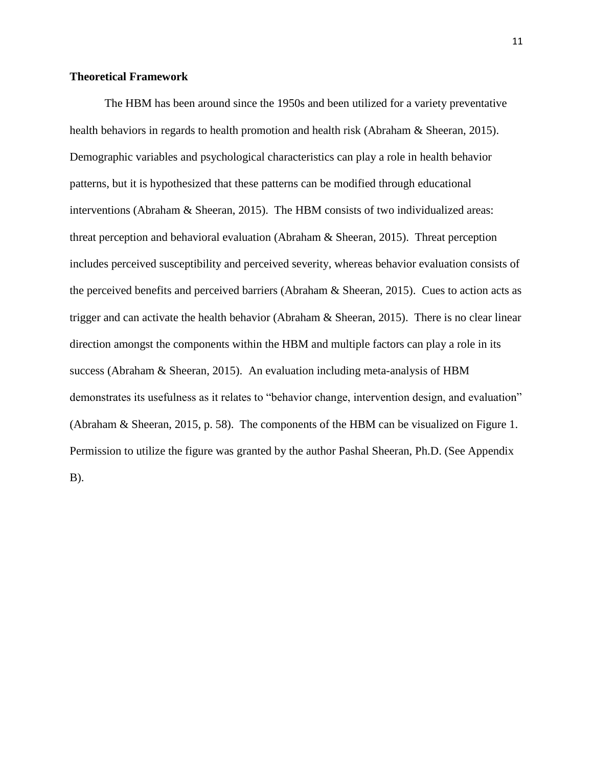#### **Theoretical Framework**

The HBM has been around since the 1950s and been utilized for a variety preventative health behaviors in regards to health promotion and health risk (Abraham & Sheeran, 2015). Demographic variables and psychological characteristics can play a role in health behavior patterns, but it is hypothesized that these patterns can be modified through educational interventions (Abraham & Sheeran, 2015). The HBM consists of two individualized areas: threat perception and behavioral evaluation (Abraham & Sheeran, 2015). Threat perception includes perceived susceptibility and perceived severity, whereas behavior evaluation consists of the perceived benefits and perceived barriers (Abraham & Sheeran, 2015). Cues to action acts as trigger and can activate the health behavior (Abraham & Sheeran, 2015). There is no clear linear direction amongst the components within the HBM and multiple factors can play a role in its success (Abraham & Sheeran, 2015). An evaluation including meta-analysis of HBM demonstrates its usefulness as it relates to "behavior change, intervention design, and evaluation" (Abraham & Sheeran, 2015, p. 58). The components of the HBM can be visualized on Figure 1. Permission to utilize the figure was granted by the author Pashal Sheeran, Ph.D. (See Appendix B).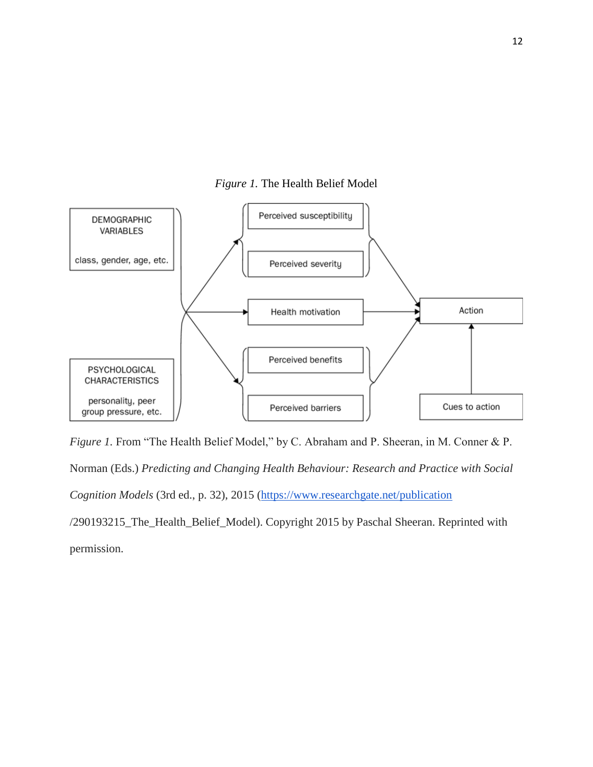



*Figure 1.* From "The Health Belief Model," by C. Abraham and P. Sheeran, in M. Conner & P. Norman (Eds.) *Predicting and Changing Health Behaviour: Research and Practice with Social Cognition Models* (3rd ed., p. 32), 2015 [\(https://www.researchgate.net/publication](https://www.researchgate.net/publication) /290193215\_The\_Health\_Belief\_Model). Copyright 2015 by Paschal Sheeran. Reprinted with permission.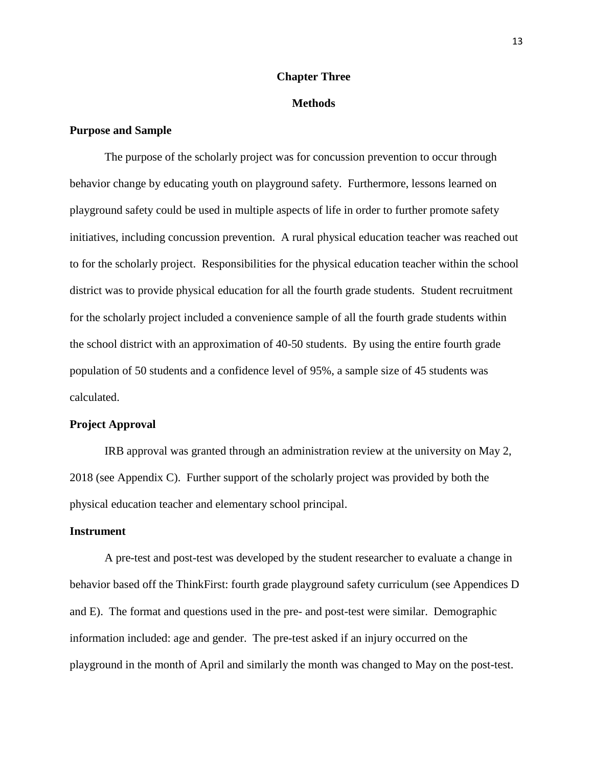#### **Chapter Three**

#### **Methods**

#### **Purpose and Sample**

The purpose of the scholarly project was for concussion prevention to occur through behavior change by educating youth on playground safety. Furthermore, lessons learned on playground safety could be used in multiple aspects of life in order to further promote safety initiatives, including concussion prevention. A rural physical education teacher was reached out to for the scholarly project. Responsibilities for the physical education teacher within the school district was to provide physical education for all the fourth grade students. Student recruitment for the scholarly project included a convenience sample of all the fourth grade students within the school district with an approximation of 40-50 students. By using the entire fourth grade population of 50 students and a confidence level of 95%, a sample size of 45 students was calculated.

#### **Project Approval**

IRB approval was granted through an administration review at the university on May 2, 2018 (see Appendix C). Further support of the scholarly project was provided by both the physical education teacher and elementary school principal.

#### **Instrument**

A pre-test and post-test was developed by the student researcher to evaluate a change in behavior based off the ThinkFirst: fourth grade playground safety curriculum (see Appendices D and E). The format and questions used in the pre- and post-test were similar. Demographic information included: age and gender. The pre-test asked if an injury occurred on the playground in the month of April and similarly the month was changed to May on the post-test.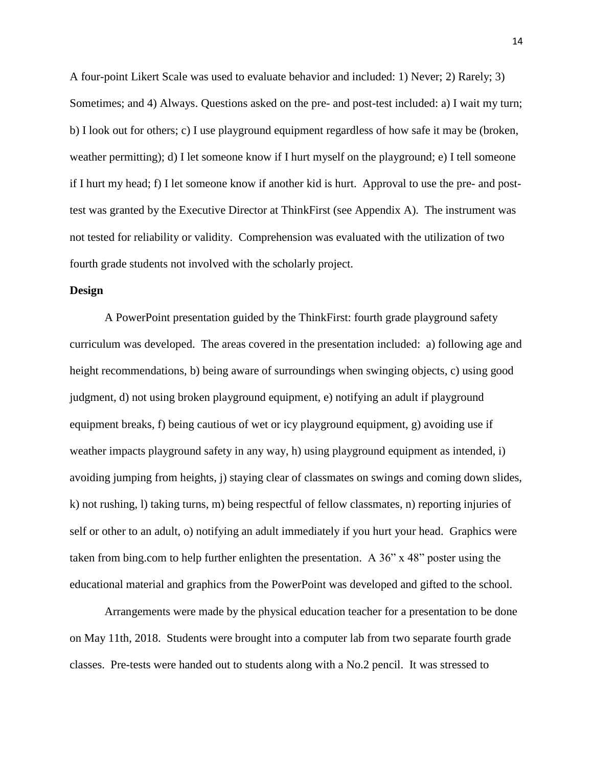A four-point Likert Scale was used to evaluate behavior and included: 1) Never; 2) Rarely; 3) Sometimes; and 4) Always. Questions asked on the pre- and post-test included: a) I wait my turn; b) I look out for others; c) I use playground equipment regardless of how safe it may be (broken, weather permitting); d) I let someone know if I hurt myself on the playground; e) I tell someone if I hurt my head; f) I let someone know if another kid is hurt. Approval to use the pre- and posttest was granted by the Executive Director at ThinkFirst (see Appendix A). The instrument was not tested for reliability or validity. Comprehension was evaluated with the utilization of two fourth grade students not involved with the scholarly project.

#### **Design**

A PowerPoint presentation guided by the ThinkFirst: fourth grade playground safety curriculum was developed. The areas covered in the presentation included: a) following age and height recommendations, b) being aware of surroundings when swinging objects, c) using good judgment, d) not using broken playground equipment, e) notifying an adult if playground equipment breaks, f) being cautious of wet or icy playground equipment, g) avoiding use if weather impacts playground safety in any way, h) using playground equipment as intended, i) avoiding jumping from heights, j) staying clear of classmates on swings and coming down slides, k) not rushing, l) taking turns, m) being respectful of fellow classmates, n) reporting injuries of self or other to an adult, o) notifying an adult immediately if you hurt your head. Graphics were taken from bing.com to help further enlighten the presentation. A 36" x 48" poster using the educational material and graphics from the PowerPoint was developed and gifted to the school.

Arrangements were made by the physical education teacher for a presentation to be done on May 11th, 2018. Students were brought into a computer lab from two separate fourth grade classes. Pre-tests were handed out to students along with a No.2 pencil. It was stressed to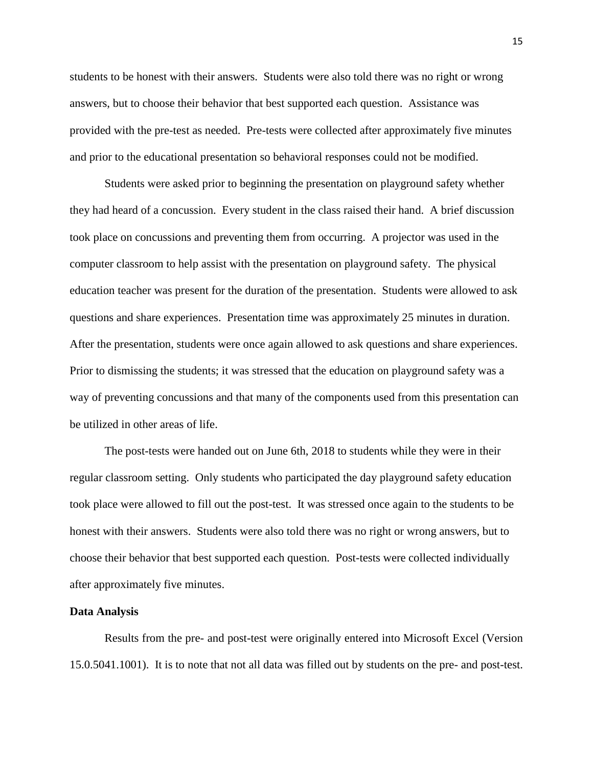students to be honest with their answers. Students were also told there was no right or wrong answers, but to choose their behavior that best supported each question. Assistance was provided with the pre-test as needed. Pre-tests were collected after approximately five minutes and prior to the educational presentation so behavioral responses could not be modified.

Students were asked prior to beginning the presentation on playground safety whether they had heard of a concussion. Every student in the class raised their hand. A brief discussion took place on concussions and preventing them from occurring. A projector was used in the computer classroom to help assist with the presentation on playground safety. The physical education teacher was present for the duration of the presentation. Students were allowed to ask questions and share experiences. Presentation time was approximately 25 minutes in duration. After the presentation, students were once again allowed to ask questions and share experiences. Prior to dismissing the students; it was stressed that the education on playground safety was a way of preventing concussions and that many of the components used from this presentation can be utilized in other areas of life.

The post-tests were handed out on June 6th, 2018 to students while they were in their regular classroom setting. Only students who participated the day playground safety education took place were allowed to fill out the post-test. It was stressed once again to the students to be honest with their answers. Students were also told there was no right or wrong answers, but to choose their behavior that best supported each question. Post-tests were collected individually after approximately five minutes.

#### **Data Analysis**

Results from the pre- and post-test were originally entered into Microsoft Excel (Version 15.0.5041.1001). It is to note that not all data was filled out by students on the pre- and post-test.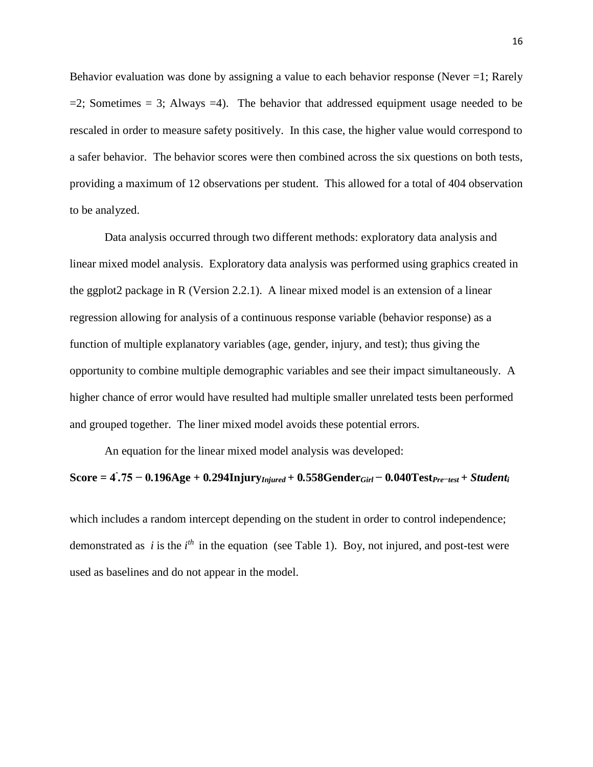Behavior evaluation was done by assigning a value to each behavior response (Never =1; Rarely  $=2$ ; Sometimes  $=3$ ; Always  $=4$ ). The behavior that addressed equipment usage needed to be rescaled in order to measure safety positively. In this case, the higher value would correspond to a safer behavior. The behavior scores were then combined across the six questions on both tests, providing a maximum of 12 observations per student. This allowed for a total of 404 observation to be analyzed.

Data analysis occurred through two different methods: exploratory data analysis and linear mixed model analysis. Exploratory data analysis was performed using graphics created in the ggplot2 package in R (Version 2.2.1). A linear mixed model is an extension of a linear regression allowing for analysis of a continuous response variable (behavior response) as a function of multiple explanatory variables (age, gender, injury, and test); thus giving the opportunity to combine multiple demographic variables and see their impact simultaneously. A higher chance of error would have resulted had multiple smaller unrelated tests been performed and grouped together. The liner mixed model avoids these potential errors.

An equation for the linear mixed model analysis was developed:

#### Score =  $4\hat{\cdot}$ .75  $-$  0.196Age + 0.294Injury $_{Injured}$  + 0.558Gender $_{Girl}$   $-$  0.040Test $_{Pre-test}$  + Student $_i$

which includes a random intercept depending on the student in order to control independence; demonstrated as  $i$  is the  $i<sup>th</sup>$  in the equation (see Table 1). Boy, not injured, and post-test were used as baselines and do not appear in the model.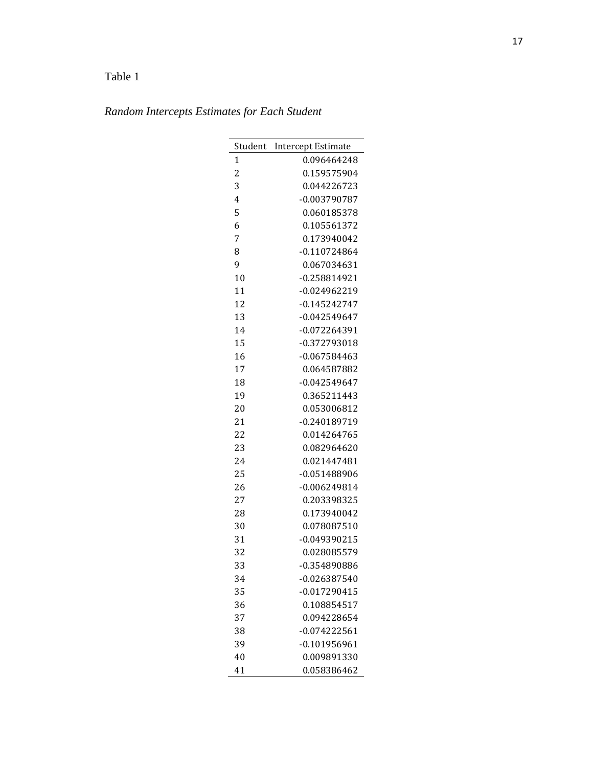|                | Student Intercept Estimate |
|----------------|----------------------------|
| 1              | 0.096464248                |
| $\overline{c}$ | 0.159575904                |
| 3              | 0.044226723                |
| 4              | -0.003790787               |
| 5              | 0.060185378                |
| 6              | 0.105561372                |
| 7              | 0.173940042                |
| 8              | $-0.110724864$             |
| 9              | 0.067034631                |
| 10             | -0.258814921               |
| 11             | $-0.024962219$             |
| 12             | $-0.145242747$             |
| 13             | $-0.042549647$             |
| 14             | -0.072264391               |
| 15             | -0.372793018               |
| 16             | $-0.067584463$             |
| 17             | 0.064587882                |
| 18             | $-0.042549647$             |
| 19             | 0.365211443                |
| 20             | 0.053006812                |
| 21             | -0.240189719               |
| 22             | 0.014264765                |
| 23             | 0.082964620                |
| 24             | 0.021447481                |
| 25             | -0.051488906               |
| 26             | $-0.006249814$             |
| 27             | 0.203398325                |
| 28             | 0.173940042                |
| 30             | 0.078087510                |
| 31             | -0.049390215               |
| 32             | 0.028085579                |
| 33             | -0.354890886               |
| 34             | $-0.026387540$             |
| 35             | $-0.017290415$             |
| 36             | 0.108854517                |
| 37             | 0.094228654                |
| 38             | -0.074222561               |
| 39             | $-0.101956961$             |
| 40             | 0.009891330                |
| 41             | 0.058386462                |

### *Random Intercepts Estimates for Each Student*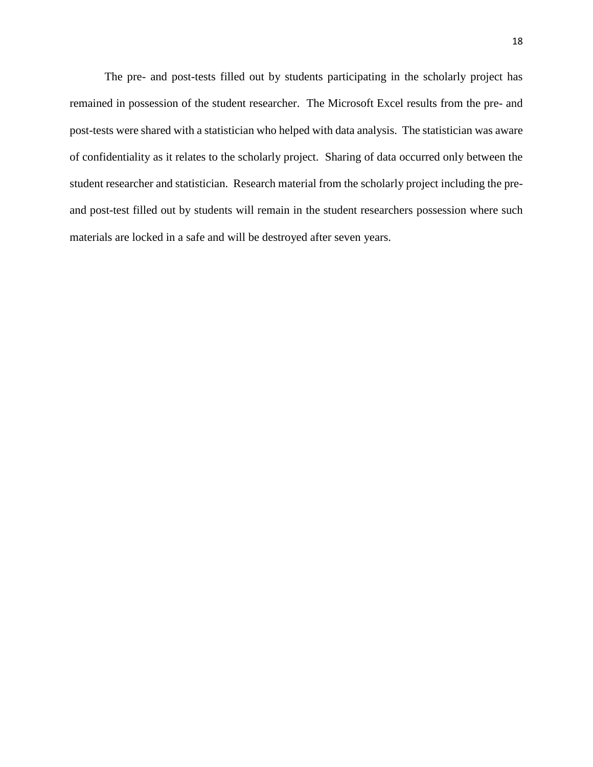The pre- and post-tests filled out by students participating in the scholarly project has remained in possession of the student researcher. The Microsoft Excel results from the pre- and post-tests were shared with a statistician who helped with data analysis. The statistician was aware of confidentiality as it relates to the scholarly project. Sharing of data occurred only between the student researcher and statistician. Research material from the scholarly project including the preand post-test filled out by students will remain in the student researchers possession where such materials are locked in a safe and will be destroyed after seven years.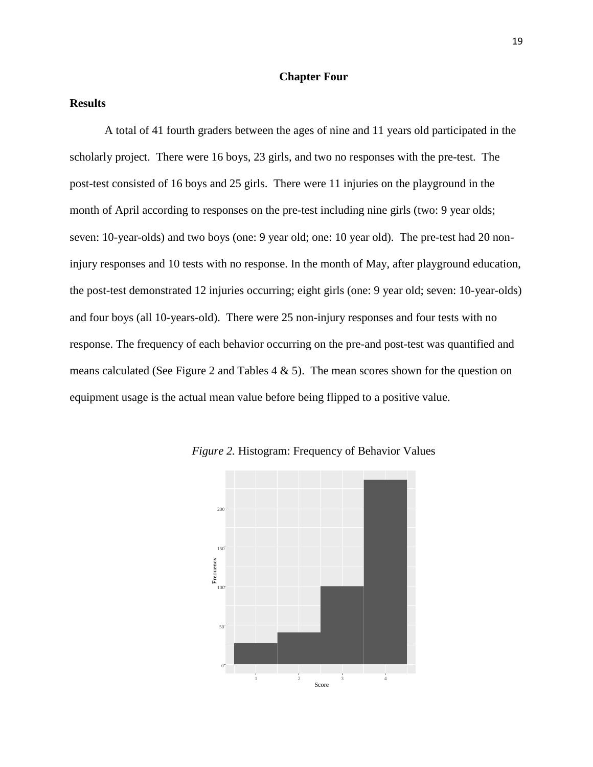#### **Chapter Four**

#### **Results**

A total of 41 fourth graders between the ages of nine and 11 years old participated in the scholarly project. There were 16 boys, 23 girls, and two no responses with the pre-test. The post-test consisted of 16 boys and 25 girls. There were 11 injuries on the playground in the month of April according to responses on the pre-test including nine girls (two: 9 year olds; seven: 10-year-olds) and two boys (one: 9 year old; one: 10 year old). The pre-test had 20 noninjury responses and 10 tests with no response. In the month of May, after playground education, the post-test demonstrated 12 injuries occurring; eight girls (one: 9 year old; seven: 10-year-olds) and four boys (all 10-years-old). There were 25 non-injury responses and four tests with no response. The frequency of each behavior occurring on the pre-and post-test was quantified and means calculated (See Figure 2 and Tables  $4 \& 5$ ). The mean scores shown for the question on equipment usage is the actual mean value before being flipped to a positive value.



*Figure 2.* Histogram: Frequency of Behavior Values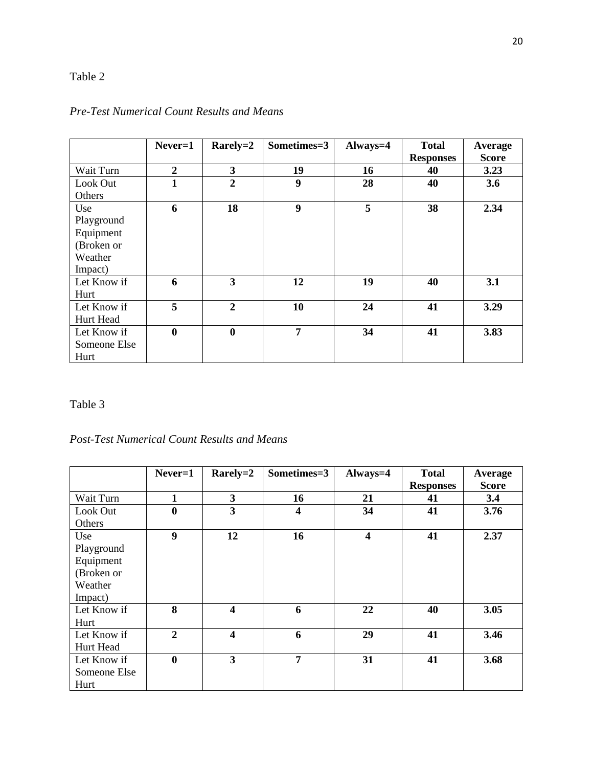|              | $Never=1$        | Rarely=2                | Sometimes=3      | Always=4 | <b>Total</b>     | Average      |
|--------------|------------------|-------------------------|------------------|----------|------------------|--------------|
|              |                  |                         |                  |          | <b>Responses</b> | <b>Score</b> |
| Wait Turn    | $\overline{2}$   | $\mathbf{3}$            | 19               | 16       | 40               | 3.23         |
| Look Out     | 1                | $\overline{2}$          | 9                | 28       | 40               | 3.6          |
| Others       |                  |                         |                  |          |                  |              |
| Use          | 6                | 18                      | $\boldsymbol{9}$ | 5        | 38               | 2.34         |
| Playground   |                  |                         |                  |          |                  |              |
| Equipment    |                  |                         |                  |          |                  |              |
| (Broken or   |                  |                         |                  |          |                  |              |
| Weather      |                  |                         |                  |          |                  |              |
| Impact)      |                  |                         |                  |          |                  |              |
| Let Know if  | 6                | $\overline{\mathbf{3}}$ | 12               | 19       | 40               | 3.1          |
| Hurt         |                  |                         |                  |          |                  |              |
| Let Know if  | 5                | $\overline{2}$          | 10               | 24       | 41               | 3.29         |
| Hurt Head    |                  |                         |                  |          |                  |              |
| Let Know if  | $\boldsymbol{0}$ | $\boldsymbol{0}$        | $\overline{7}$   | 34       | 41               | 3.83         |
| Someone Else |                  |                         |                  |          |                  |              |
| Hurt         |                  |                         |                  |          |                  |              |

## *Pre-Test Numerical Count Results and Means*

### Table 3

### *Post-Test Numerical Count Results and Means*

|              | $Never=1$      | Rarely=2                | Sometimes=3             | Always=4                | <b>Total</b>     | Average      |
|--------------|----------------|-------------------------|-------------------------|-------------------------|------------------|--------------|
|              |                |                         |                         |                         | <b>Responses</b> | <b>Score</b> |
| Wait Turn    |                | $\mathbf{3}$            | 16                      | 21                      | 41               | 3.4          |
| Look Out     | $\bf{0}$       | $\overline{\mathbf{3}}$ | $\overline{\mathbf{4}}$ | 34                      | 41               | 3.76         |
| Others       |                |                         |                         |                         |                  |              |
| Use          | 9              | 12                      | 16                      | $\overline{\mathbf{4}}$ | 41               | 2.37         |
| Playground   |                |                         |                         |                         |                  |              |
| Equipment    |                |                         |                         |                         |                  |              |
| (Broken or   |                |                         |                         |                         |                  |              |
| Weather      |                |                         |                         |                         |                  |              |
| Impact)      |                |                         |                         |                         |                  |              |
| Let Know if  | 8              | $\overline{\mathbf{4}}$ | 6                       | 22                      | 40               | 3.05         |
| Hurt         |                |                         |                         |                         |                  |              |
| Let Know if  | $\overline{2}$ | $\overline{\mathbf{4}}$ | 6                       | 29                      | 41               | 3.46         |
| Hurt Head    |                |                         |                         |                         |                  |              |
| Let Know if  | $\mathbf{0}$   | 3                       | 7                       | 31                      | 41               | 3.68         |
| Someone Else |                |                         |                         |                         |                  |              |
| Hurt         |                |                         |                         |                         |                  |              |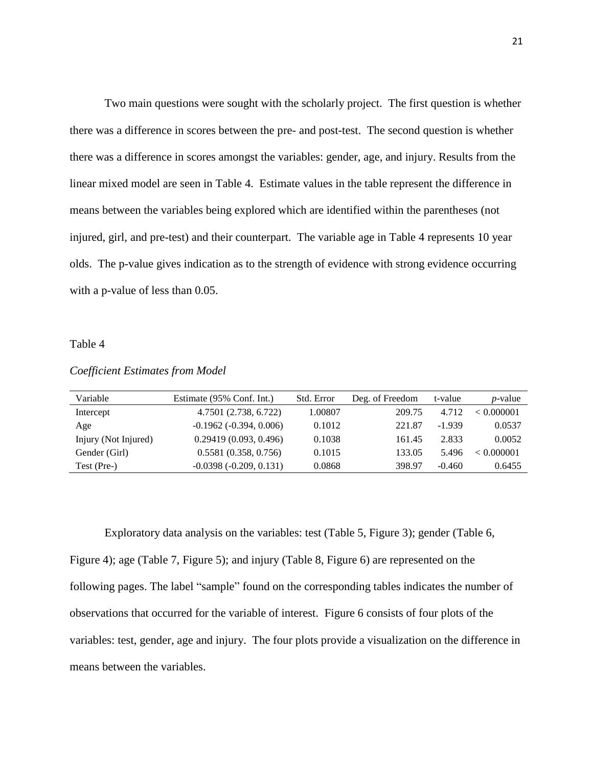Two main questions were sought with the scholarly project. The first question is whether there was a difference in scores between the pre- and post-test. The second question is whether there was a difference in scores amongst the variables: gender, age, and injury. Results from the linear mixed model are seen in Table 4. Estimate values in the table represent the difference in means between the variables being explored which are identified within the parentheses (not injured, girl, and pre-test) and their counterpart. The variable age in Table 4 represents 10 year olds. The p-value gives indication as to the strength of evidence with strong evidence occurring with a p-value of less than 0.05.

#### Table 4

| Variable             | Estimate (95% Conf. Int.)        | Std. Error | Deg. of Freedom | t-value  | $p$ -value |
|----------------------|----------------------------------|------------|-----------------|----------|------------|
| Intercept            | 4.7501 (2.738, 6.722)            | 1.00807    | 209.75          | 4.712    | < 0.000001 |
| Age                  | $-0.1962$ ( $-0.394$ , $0.006$ ) | 0.1012     | 221.87          | $-1.939$ | 0.0537     |
| Injury (Not Injured) | 0.29419(0.093, 0.496)            | 0.1038     | 161.45          | 2.833    | 0.0052     |
| Gender (Girl)        | 0.5581(0.358, 0.756)             | 0.1015     | 133.05          | 5.496    | < 0.000001 |
| Test (Pre-)          | $-0.0398(-0.209, 0.131)$         | 0.0868     | 398.97          | $-0.460$ | 0.6455     |

*Coefficient Estimates from Model*

Exploratory data analysis on the variables: test (Table 5, Figure 3); gender (Table 6, Figure 4); age (Table 7, Figure 5); and injury (Table 8, Figure 6) are represented on the following pages. The label "sample" found on the corresponding tables indicates the number of observations that occurred for the variable of interest. Figure 6 consists of four plots of the variables: test, gender, age and injury. The four plots provide a visualization on the difference in means between the variables.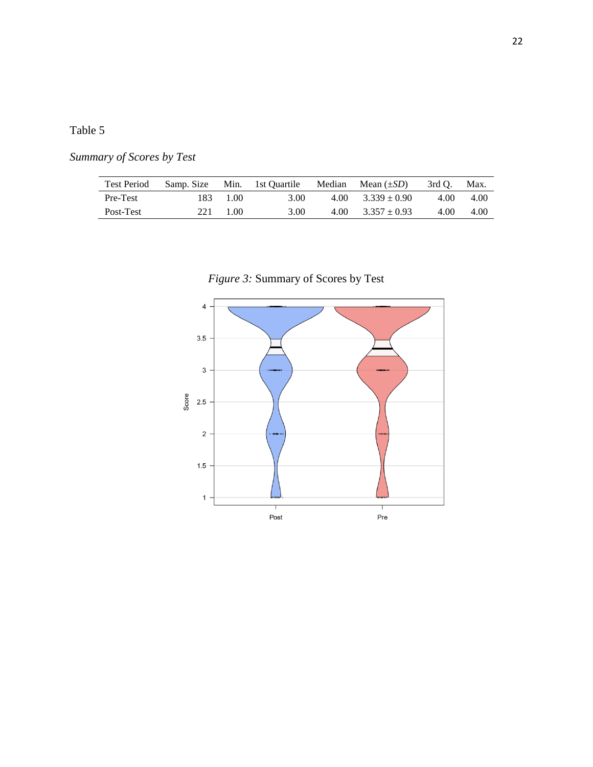# *Summary of Scores by Test*

| <b>Test Period</b> |          |      | Samp. Size Min. 1st Quartile Median Mean $(\pm SD)$ | 3rd O. | Max. |
|--------------------|----------|------|-----------------------------------------------------|--------|------|
| Pre-Test           | 183 1.00 | 3.00 | $4.00 \quad 3.339 \pm 0.90$                         | 4.00   | 4.00 |
| Post-Test          | 221 1.00 | 3.00 | $4.00 \quad 3.357 \pm 0.93$                         | 4.00   | 4.00 |



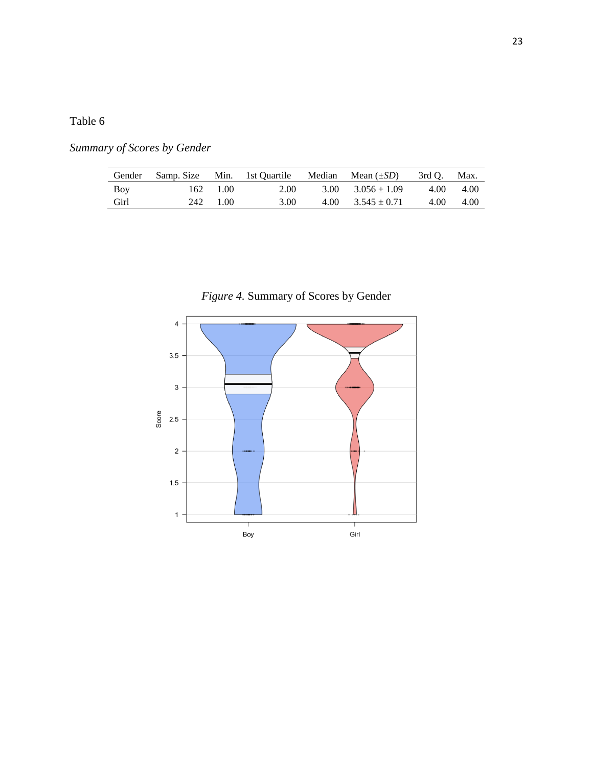## *Summary of Scores by Gender*

|            |          | Gender Samp Size Min. 1st Quartile Median Mean $(\pm SD)$ |                              | 3rd O. Max. |      |
|------------|----------|-----------------------------------------------------------|------------------------------|-------------|------|
| <b>Boy</b> | 162 1.00 | 2.00                                                      | $3.00 \quad 3.056 \pm 1.09$  | 4.00        | 4.00 |
| Girl       | 242 1.00 | 3.00                                                      | $4.00 \qquad 3.545 \pm 0.71$ | 4.00        | 4.00 |



*Figure 4.* Summary of Scores by Gender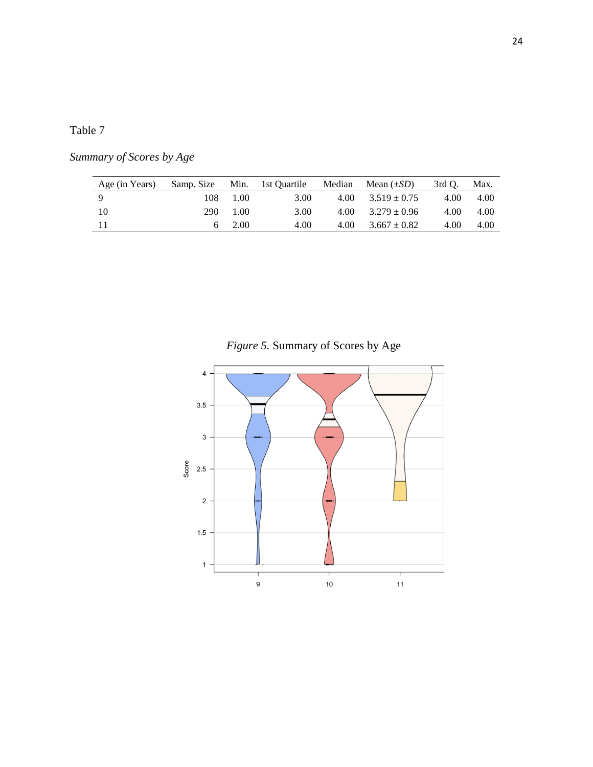# *Summary of Scores by Age*

| Age (in Years) | Samp. Size | Min.          | 1st Ouartile | Median | Mean $(\pm SD)$  | $3rdO$ . | Max. |
|----------------|------------|---------------|--------------|--------|------------------|----------|------|
|                | 108.       | 1.00          | 3.00         | 4.00   | $3.519 + 0.75$   | 4.00     | 4.00 |
| 10             | 290        | 1.00          | 3.00         | 4.00   | $3.279 + 0.96$   | 4.00     | 4.00 |
|                |            | $6\quad 2.00$ | 4.00         | 4.00   | $3.667 \pm 0.82$ | 4.00     | 4.00 |



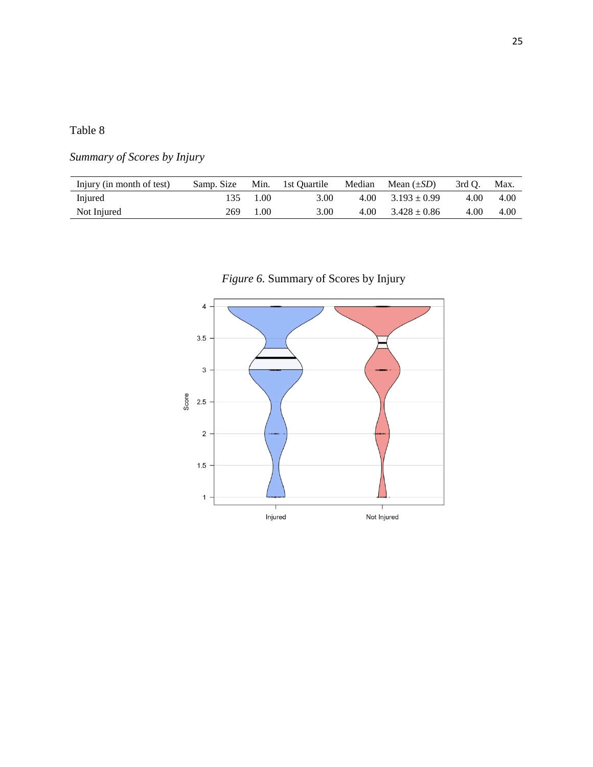# *Summary of Scores by Injury*

| Injury (in month of test) | Samp. Size | Min. | 1st Ouartile | Median | Mean $(\pm SD)$  | $3rdO$ . | Max. |
|---------------------------|------------|------|--------------|--------|------------------|----------|------|
| Injured                   | 135        | 1.00 | 3.00         | 4.00   | $3.193 \pm 0.99$ | 4.00     | 4.00 |
| Not Injured               | 269        | 1.00 | 3.00         | 4.00   | $3.428 + 0.86$   | 4.00     | 4.00 |



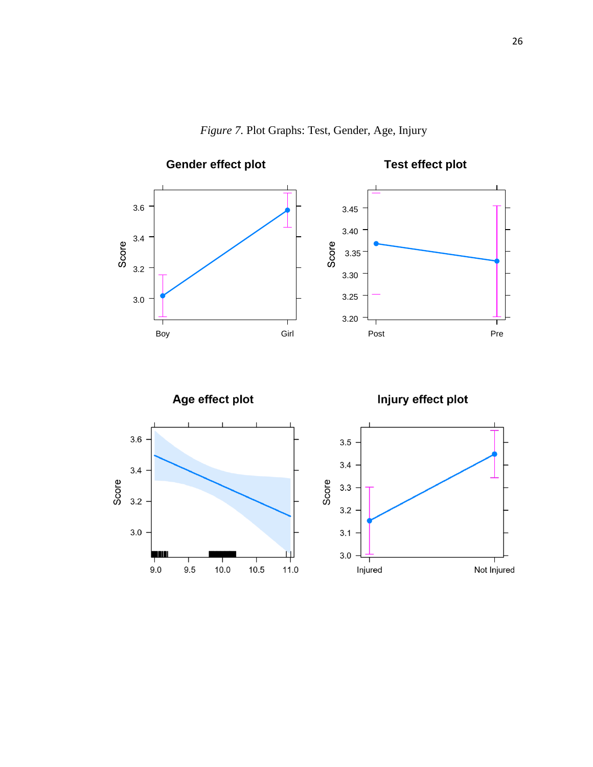*Figure 7.* Plot Graphs: Test, Gender, Age, Injury



Age effect plot

Injury effect plot

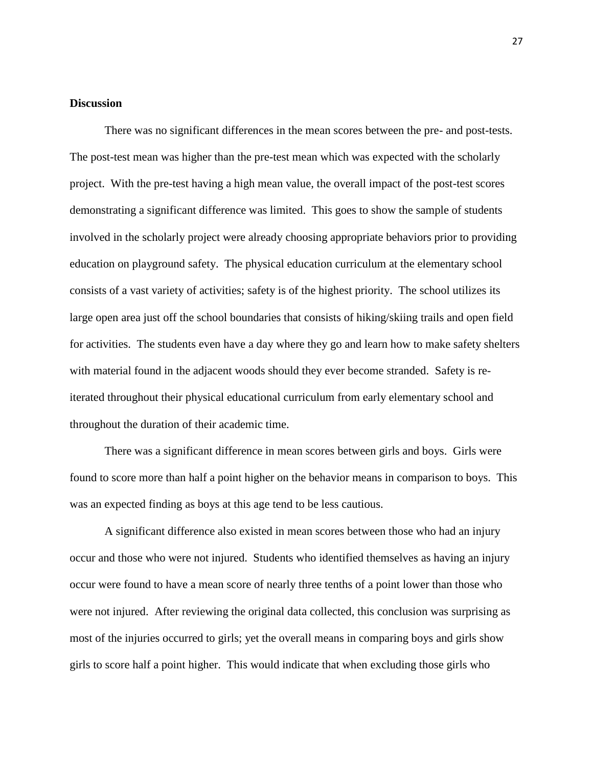#### **Discussion**

There was no significant differences in the mean scores between the pre- and post-tests. The post-test mean was higher than the pre-test mean which was expected with the scholarly project. With the pre-test having a high mean value, the overall impact of the post-test scores demonstrating a significant difference was limited. This goes to show the sample of students involved in the scholarly project were already choosing appropriate behaviors prior to providing education on playground safety. The physical education curriculum at the elementary school consists of a vast variety of activities; safety is of the highest priority. The school utilizes its large open area just off the school boundaries that consists of hiking/skiing trails and open field for activities. The students even have a day where they go and learn how to make safety shelters with material found in the adjacent woods should they ever become stranded. Safety is reiterated throughout their physical educational curriculum from early elementary school and throughout the duration of their academic time.

There was a significant difference in mean scores between girls and boys. Girls were found to score more than half a point higher on the behavior means in comparison to boys. This was an expected finding as boys at this age tend to be less cautious.

A significant difference also existed in mean scores between those who had an injury occur and those who were not injured. Students who identified themselves as having an injury occur were found to have a mean score of nearly three tenths of a point lower than those who were not injured. After reviewing the original data collected, this conclusion was surprising as most of the injuries occurred to girls; yet the overall means in comparing boys and girls show girls to score half a point higher. This would indicate that when excluding those girls who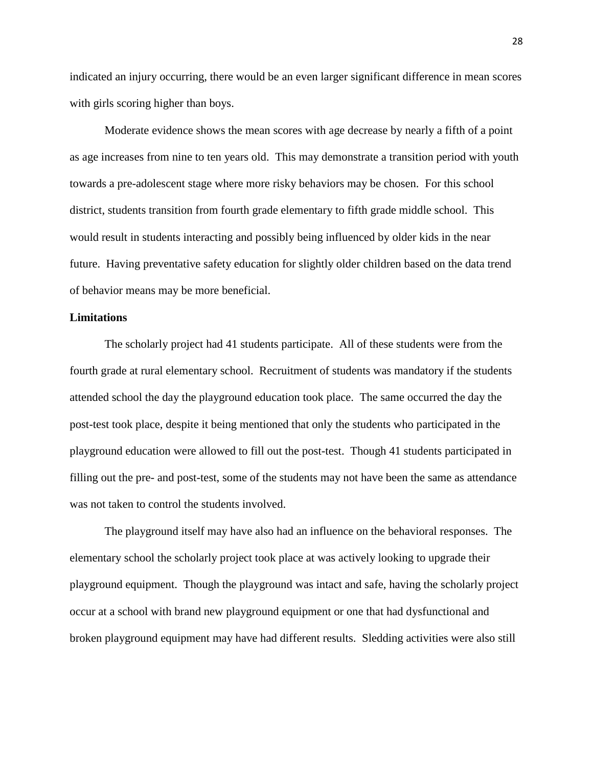indicated an injury occurring, there would be an even larger significant difference in mean scores with girls scoring higher than boys.

Moderate evidence shows the mean scores with age decrease by nearly a fifth of a point as age increases from nine to ten years old. This may demonstrate a transition period with youth towards a pre-adolescent stage where more risky behaviors may be chosen. For this school district, students transition from fourth grade elementary to fifth grade middle school. This would result in students interacting and possibly being influenced by older kids in the near future. Having preventative safety education for slightly older children based on the data trend of behavior means may be more beneficial.

#### **Limitations**

The scholarly project had 41 students participate. All of these students were from the fourth grade at rural elementary school. Recruitment of students was mandatory if the students attended school the day the playground education took place. The same occurred the day the post-test took place, despite it being mentioned that only the students who participated in the playground education were allowed to fill out the post-test. Though 41 students participated in filling out the pre- and post-test, some of the students may not have been the same as attendance was not taken to control the students involved.

The playground itself may have also had an influence on the behavioral responses. The elementary school the scholarly project took place at was actively looking to upgrade their playground equipment. Though the playground was intact and safe, having the scholarly project occur at a school with brand new playground equipment or one that had dysfunctional and broken playground equipment may have had different results. Sledding activities were also still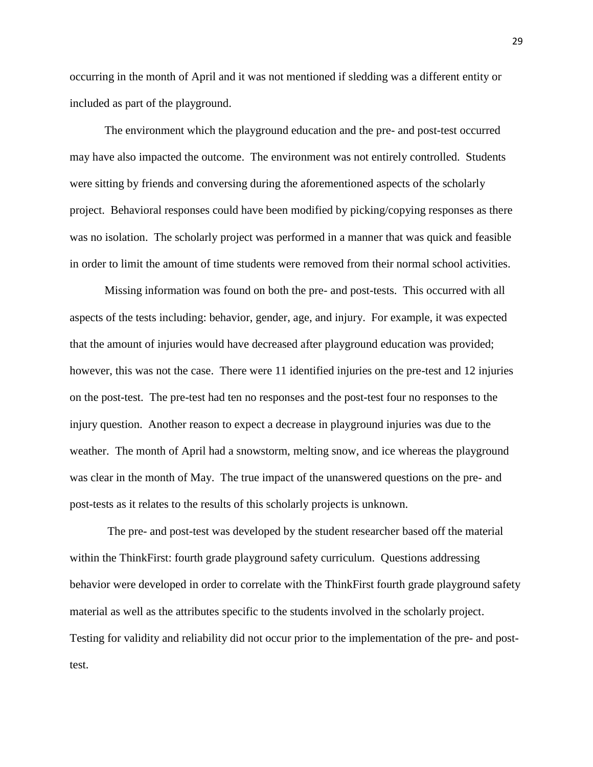occurring in the month of April and it was not mentioned if sledding was a different entity or included as part of the playground.

The environment which the playground education and the pre- and post-test occurred may have also impacted the outcome. The environment was not entirely controlled. Students were sitting by friends and conversing during the aforementioned aspects of the scholarly project. Behavioral responses could have been modified by picking/copying responses as there was no isolation. The scholarly project was performed in a manner that was quick and feasible in order to limit the amount of time students were removed from their normal school activities.

Missing information was found on both the pre- and post-tests. This occurred with all aspects of the tests including: behavior, gender, age, and injury. For example, it was expected that the amount of injuries would have decreased after playground education was provided; however, this was not the case. There were 11 identified injuries on the pre-test and 12 injuries on the post-test. The pre-test had ten no responses and the post-test four no responses to the injury question. Another reason to expect a decrease in playground injuries was due to the weather. The month of April had a snowstorm, melting snow, and ice whereas the playground was clear in the month of May. The true impact of the unanswered questions on the pre- and post-tests as it relates to the results of this scholarly projects is unknown.

The pre- and post-test was developed by the student researcher based off the material within the ThinkFirst: fourth grade playground safety curriculum. Questions addressing behavior were developed in order to correlate with the ThinkFirst fourth grade playground safety material as well as the attributes specific to the students involved in the scholarly project. Testing for validity and reliability did not occur prior to the implementation of the pre- and posttest.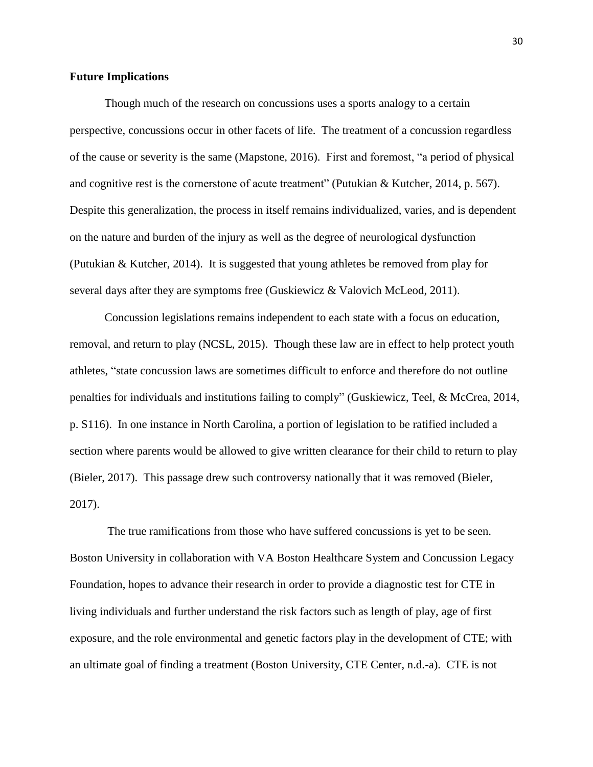#### **Future Implications**

Though much of the research on concussions uses a sports analogy to a certain perspective, concussions occur in other facets of life. The treatment of a concussion regardless of the cause or severity is the same (Mapstone, 2016). First and foremost, "a period of physical and cognitive rest is the cornerstone of acute treatment" (Putukian & Kutcher, 2014, p. 567). Despite this generalization, the process in itself remains individualized, varies, and is dependent on the nature and burden of the injury as well as the degree of neurological dysfunction (Putukian & Kutcher, 2014). It is suggested that young athletes be removed from play for several days after they are symptoms free (Guskiewicz & Valovich McLeod, 2011).

Concussion legislations remains independent to each state with a focus on education, removal, and return to play (NCSL, 2015). Though these law are in effect to help protect youth athletes, "state concussion laws are sometimes difficult to enforce and therefore do not outline penalties for individuals and institutions failing to comply" (Guskiewicz, Teel, & McCrea, 2014, p. S116). In one instance in North Carolina, a portion of legislation to be ratified included a section where parents would be allowed to give written clearance for their child to return to play (Bieler, 2017). This passage drew such controversy nationally that it was removed (Bieler, 2017).

The true ramifications from those who have suffered concussions is yet to be seen. Boston University in collaboration with VA Boston Healthcare System and Concussion Legacy Foundation, hopes to advance their research in order to provide a diagnostic test for CTE in living individuals and further understand the risk factors such as length of play, age of first exposure, and the role environmental and genetic factors play in the development of CTE; with an ultimate goal of finding a treatment (Boston University, CTE Center, n.d.-a). CTE is not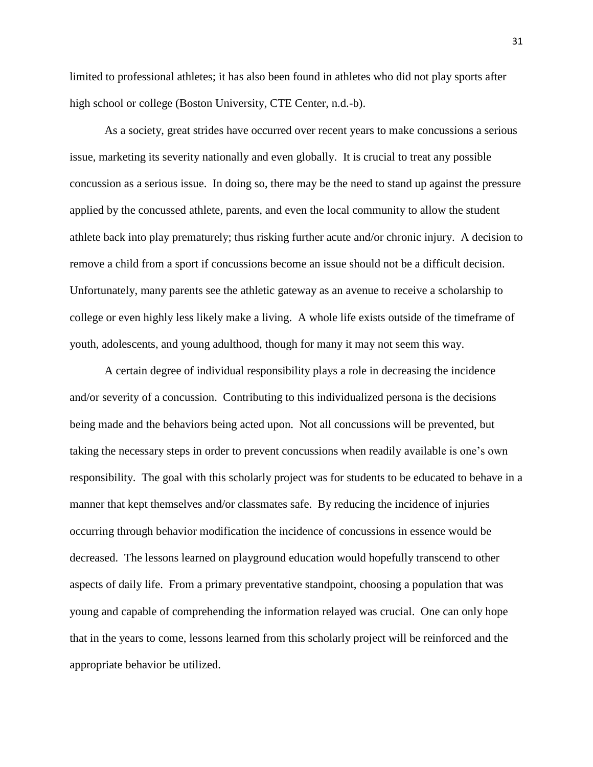limited to professional athletes; it has also been found in athletes who did not play sports after high school or college (Boston University, CTE Center, n.d.-b).

As a society, great strides have occurred over recent years to make concussions a serious issue, marketing its severity nationally and even globally. It is crucial to treat any possible concussion as a serious issue. In doing so, there may be the need to stand up against the pressure applied by the concussed athlete, parents, and even the local community to allow the student athlete back into play prematurely; thus risking further acute and/or chronic injury. A decision to remove a child from a sport if concussions become an issue should not be a difficult decision. Unfortunately, many parents see the athletic gateway as an avenue to receive a scholarship to college or even highly less likely make a living. A whole life exists outside of the timeframe of youth, adolescents, and young adulthood, though for many it may not seem this way.

A certain degree of individual responsibility plays a role in decreasing the incidence and/or severity of a concussion. Contributing to this individualized persona is the decisions being made and the behaviors being acted upon. Not all concussions will be prevented, but taking the necessary steps in order to prevent concussions when readily available is one's own responsibility. The goal with this scholarly project was for students to be educated to behave in a manner that kept themselves and/or classmates safe. By reducing the incidence of injuries occurring through behavior modification the incidence of concussions in essence would be decreased. The lessons learned on playground education would hopefully transcend to other aspects of daily life. From a primary preventative standpoint, choosing a population that was young and capable of comprehending the information relayed was crucial. One can only hope that in the years to come, lessons learned from this scholarly project will be reinforced and the appropriate behavior be utilized.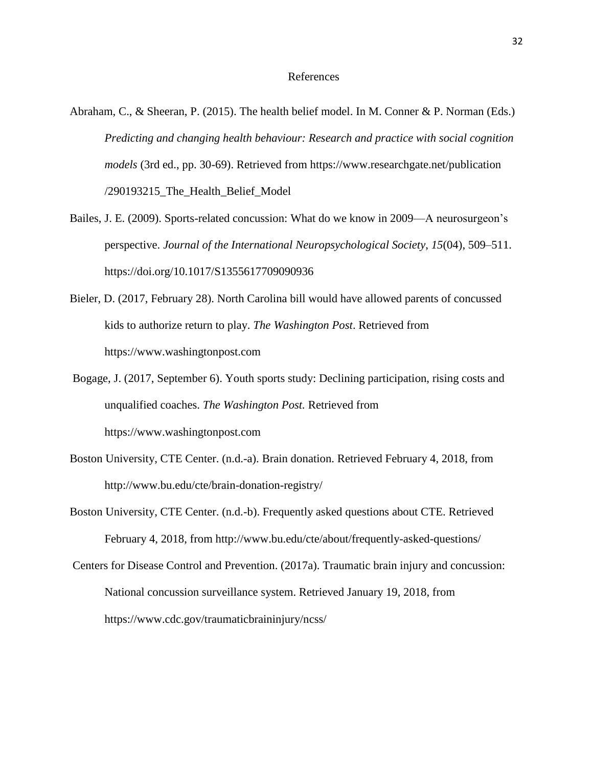#### References

- Abraham, C., & Sheeran, P. (2015). The health belief model. In M. Conner & P. Norman (Eds.) *Predicting and changing health behaviour: Research and practice with social cognition models* (3rd ed., pp. 30-69). Retrieved from https://www.researchgate.net/publication /290193215\_The\_Health\_Belief\_Model
- Bailes, J. E. (2009). Sports-related concussion: What do we know in 2009—A neurosurgeon's perspective. *Journal of the International Neuropsychological Society*, *15*(04), 509–511. https://doi.org/10.1017/S1355617709090936
- Bieler, D. (2017, February 28). North Carolina bill would have allowed parents of concussed kids to authorize return to play. *The Washington Post*. Retrieved from https://www.washingtonpost.com
- Bogage, J. (2017, September 6). Youth sports study: Declining participation, rising costs and unqualified coaches. *The Washington Post.* Retrieved from https://www.washingtonpost.com
- Boston University, CTE Center. (n.d.-a). Brain donation. Retrieved February 4, 2018, from http://www.bu.edu/cte/brain-donation-registry/
- Boston University, CTE Center. (n.d.-b). Frequently asked questions about CTE. Retrieved February 4, 2018, from http://www.bu.edu/cte/about/frequently-asked-questions/
- Centers for Disease Control and Prevention. (2017a). Traumatic brain injury and concussion: National concussion surveillance system. Retrieved January 19, 2018, from https://www.cdc.gov/traumaticbraininjury/ncss/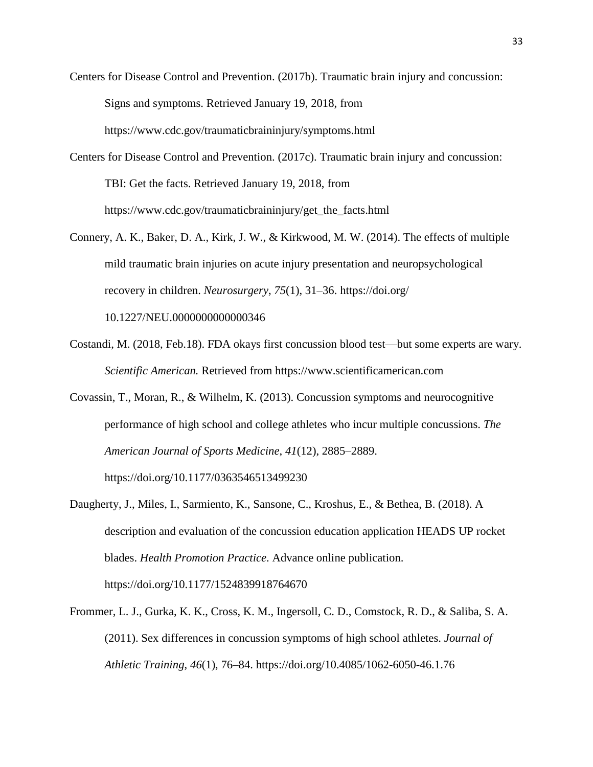Centers for Disease Control and Prevention. (2017b). Traumatic brain injury and concussion: Signs and symptoms. Retrieved January 19, 2018, from https://www.cdc.gov/traumaticbraininjury/symptoms.html

- Centers for Disease Control and Prevention. (2017c). Traumatic brain injury and concussion: TBI: Get the facts. Retrieved January 19, 2018, from https://www.cdc.gov/traumaticbraininjury/get\_the\_facts.html
- Connery, A. K., Baker, D. A., Kirk, J. W., & Kirkwood, M. W. (2014). The effects of multiple mild traumatic brain injuries on acute injury presentation and neuropsychological recovery in children. *Neurosurgery*, *75*(1), 31–36. https://doi.org/ 10.1227/NEU.0000000000000346
- Costandi, M. (2018, Feb.18). FDA okays first concussion blood test—but some experts are wary. *Scientific American.* Retrieved from https://www.scientificamerican.com
- Covassin, T., Moran, R., & Wilhelm, K. (2013). Concussion symptoms and neurocognitive performance of high school and college athletes who incur multiple concussions. *The American Journal of Sports Medicine*, *41*(12), 2885–2889.

https://doi.org/10.1177/0363546513499230

- Daugherty, J., Miles, I., Sarmiento, K., Sansone, C., Kroshus, E., & Bethea, B. (2018). A description and evaluation of the concussion education application HEADS UP rocket blades. *Health Promotion Practice*. Advance online publication. https://doi.org/10.1177/1524839918764670
- Frommer, L. J., Gurka, K. K., Cross, K. M., Ingersoll, C. D., Comstock, R. D., & Saliba, S. A. (2011). Sex differences in concussion symptoms of high school athletes. *Journal of Athletic Training*, *46*(1), 76–84. https://doi.org/10.4085/1062-6050-46.1.76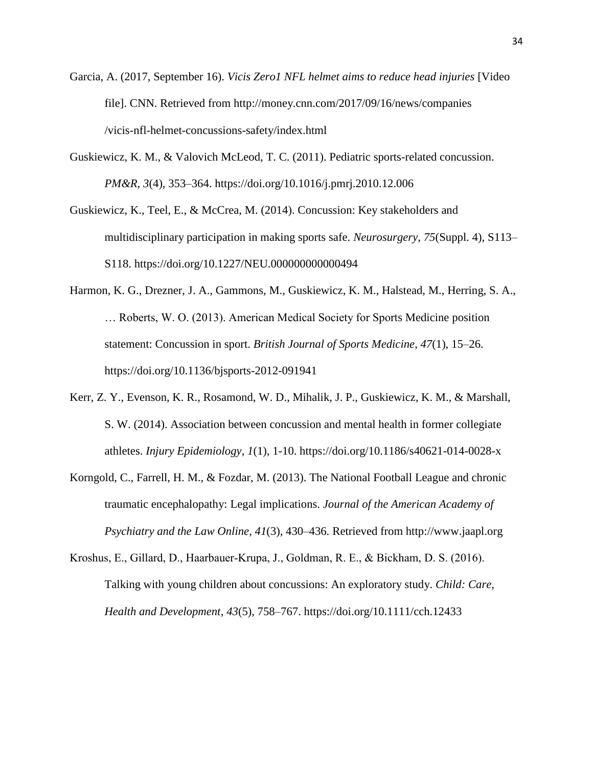- Garcia, A. (2017, September 16). *Vicis Zero1 NFL helmet aims to reduce head injuries* [Video file]. CNN. Retrieved from http://money.cnn.com/2017/09/16/news/companies /vicis-nfl-helmet-concussions-safety/index.html
- Guskiewicz, K. M., & Valovich McLeod, T. C. (2011). Pediatric sports-related concussion. *PM&R*, *3*(4), 353–364. https://doi.org/10.1016/j.pmrj.2010.12.006
- Guskiewicz, K., Teel, E., & McCrea, M. (2014). Concussion: Key stakeholders and multidisciplinary participation in making sports safe. *Neurosurgery*, *75*(Suppl. 4), S113– S118. https://doi.org/10.1227/NEU.000000000000494
- Harmon, K. G., Drezner, J. A., Gammons, M., Guskiewicz, K. M., Halstead, M., Herring, S. A., … Roberts, W. O. (2013). American Medical Society for Sports Medicine position statement: Concussion in sport. *British Journal of Sports Medicine*, *47*(1), 15–26. https://doi.org/10.1136/bjsports-2012-091941
- Kerr, Z. Y., Evenson, K. R., Rosamond, W. D., Mihalik, J. P., Guskiewicz, K. M., & Marshall, S. W. (2014). Association between concussion and mental health in former collegiate athletes. *Injury Epidemiology*, *1*(1), 1-10. https://doi.org/10.1186/s40621-014-0028-x
- Korngold, C., Farrell, H. M., & Fozdar, M. (2013). The National Football League and chronic traumatic encephalopathy: Legal implications. *Journal of the American Academy of Psychiatry and the Law Online*, *41*(3), 430–436. Retrieved from http://www.jaapl.org
- Kroshus, E., Gillard, D., Haarbauer‐Krupa, J., Goldman, R. E., & Bickham, D. S. (2016). Talking with young children about concussions: An exploratory study. *Child: Care, Health and Development*, *43*(5), 758–767. https://doi.org/10.1111/cch.12433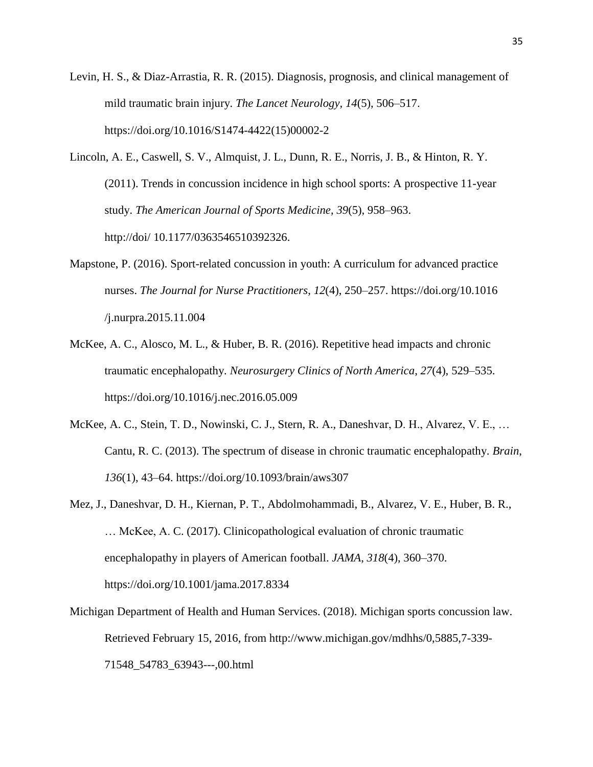- Levin, H. S., & Diaz-Arrastia, R. R. (2015). Diagnosis, prognosis, and clinical management of mild traumatic brain injury. *The Lancet Neurology, 14*(5), 506–517. https://doi.org/10.1016/S1474-4422(15)00002-2
- Lincoln, A. E., Caswell, S. V., Almquist, J. L., Dunn, R. E., Norris, J. B., & Hinton, R. Y. (2011). Trends in concussion incidence in high school sports: A prospective 11-year study. *The American Journal of Sports Medicine*, *39*(5), 958–963. http://doi/ 10.1177/0363546510392326.
- Mapstone, P. (2016). Sport-related concussion in youth: A curriculum for advanced practice nurses. *The Journal for Nurse Practitioners*, *12*(4), 250–257. https://doi.org/10.1016 /j.nurpra.2015.11.004
- McKee, A. C., Alosco, M. L., & Huber, B. R. (2016). Repetitive head impacts and chronic traumatic encephalopathy. *Neurosurgery Clinics of North America*, *27*(4), 529–535. https://doi.org/10.1016/j.nec.2016.05.009
- McKee, A. C., Stein, T. D., Nowinski, C. J., Stern, R. A., Daneshvar, D. H., Alvarez, V. E., … Cantu, R. C. (2013). The spectrum of disease in chronic traumatic encephalopathy. *Brain*, *136*(1), 43–64. https://doi.org/10.1093/brain/aws307
- Mez, J., Daneshvar, D. H., Kiernan, P. T., Abdolmohammadi, B., Alvarez, V. E., Huber, B. R., … McKee, A. C. (2017). Clinicopathological evaluation of chronic traumatic encephalopathy in players of American football. *JAMA*, *318*(4), 360–370. https://doi.org/10.1001/jama.2017.8334
- Michigan Department of Health and Human Services. (2018). Michigan sports concussion law. Retrieved February 15, 2016, from http://www.michigan.gov/mdhhs/0,5885,7-339- 71548\_54783\_63943---,00.html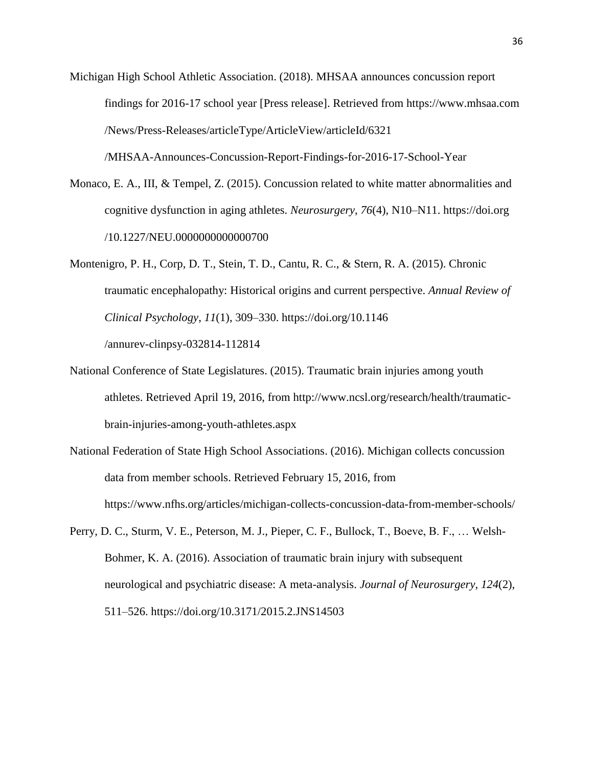Michigan High School Athletic Association. (2018). MHSAA announces concussion report findings for 2016-17 school year [Press release]. Retrieved from https://www.mhsaa.com /News/Press-Releases/articleType/ArticleView/articleId/6321

/MHSAA-Announces-Concussion-Report-Findings-for-2016-17-School-Year

- Monaco, E. A., III, & Tempel, Z. (2015). Concussion related to white matter abnormalities and cognitive dysfunction in aging athletes. *Neurosurgery*, *76*(4), N10–N11. https://doi.org /10.1227/NEU.0000000000000700
- Montenigro, P. H., Corp, D. T., Stein, T. D., Cantu, R. C., & Stern, R. A. (2015). Chronic traumatic encephalopathy: Historical origins and current perspective. *Annual Review of Clinical Psychology*, *11*(1), 309–330. https://doi.org/10.1146 /annurev-clinpsy-032814-112814
- National Conference of State Legislatures. (2015). Traumatic brain injuries among youth athletes. Retrieved April 19, 2016, from http://www.ncsl.org/research/health/traumaticbrain-injuries-among-youth-athletes.aspx
- National Federation of State High School Associations. (2016). Michigan collects concussion data from member schools. Retrieved February 15, 2016, from https://www.nfhs.org/articles/michigan-collects-concussion-data-from-member-schools/
- Perry, D. C., Sturm, V. E., Peterson, M. J., Pieper, C. F., Bullock, T., Boeve, B. F., … Welsh-Bohmer, K. A. (2016). Association of traumatic brain injury with subsequent neurological and psychiatric disease: A meta-analysis. *Journal of Neurosurgery*, *124*(2), 511–526. https://doi.org/10.3171/2015.2.JNS14503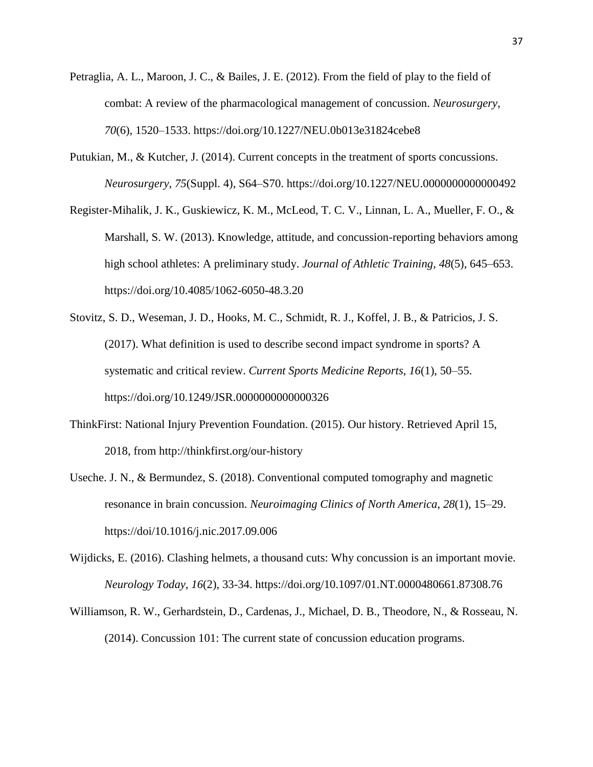- Petraglia, A. L., Maroon, J. C., & Bailes, J. E. (2012). From the field of play to the field of combat: A review of the pharmacological management of concussion. *Neurosurgery*, *70*(6), 1520–1533. https://doi.org/10.1227/NEU.0b013e31824cebe8
- Putukian, M., & Kutcher, J. (2014). Current concepts in the treatment of sports concussions. *Neurosurgery*, *75*(Suppl. 4), S64–S70. https://doi.org/10.1227/NEU.0000000000000492
- Register-Mihalik, J. K., Guskiewicz, K. M., McLeod, T. C. V., Linnan, L. A., Mueller, F. O., & Marshall, S. W. (2013). Knowledge, attitude, and concussion-reporting behaviors among high school athletes: A preliminary study. *Journal of Athletic Training*, *48*(5), 645–653. https://doi.org/10.4085/1062-6050-48.3.20
- Stovitz, S. D., Weseman, J. D., Hooks, M. C., Schmidt, R. J., Koffel, J. B., & Patricios, J. S. (2017). What definition is used to describe second impact syndrome in sports? A systematic and critical review. *Current Sports Medicine Reports*, *16*(1), 50–55. https://doi.org/10.1249/JSR.0000000000000326
- ThinkFirst: National Injury Prevention Foundation. (2015). Our history. Retrieved April 15, 2018, from http://thinkfirst.org/our-history
- Useche. J. N., & Bermundez, S. (2018). Conventional computed tomography and magnetic resonance in brain concussion. *Neuroimaging Clinics of North America*, *28*(1), 15–29. https://doi/10.1016/j.nic.2017.09.006
- Wijdicks, E. (2016). Clashing helmets, a thousand cuts: Why concussion is an important movie. *Neurology Today*, *16*(2), 33-34. https://doi.org/10.1097/01.NT.0000480661.87308.76
- Williamson, R. W., Gerhardstein, D., Cardenas, J., Michael, D. B., Theodore, N., & Rosseau, N. (2014). Concussion 101: The current state of concussion education programs.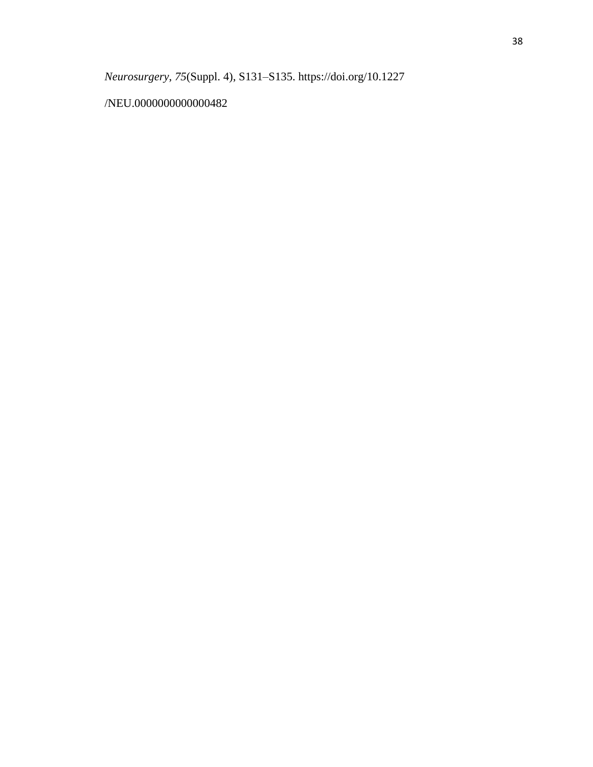*Neurosurgery*, *75*(Suppl. 4), S131–S135. https://doi.org/10.1227

## /NEU.0000000000000482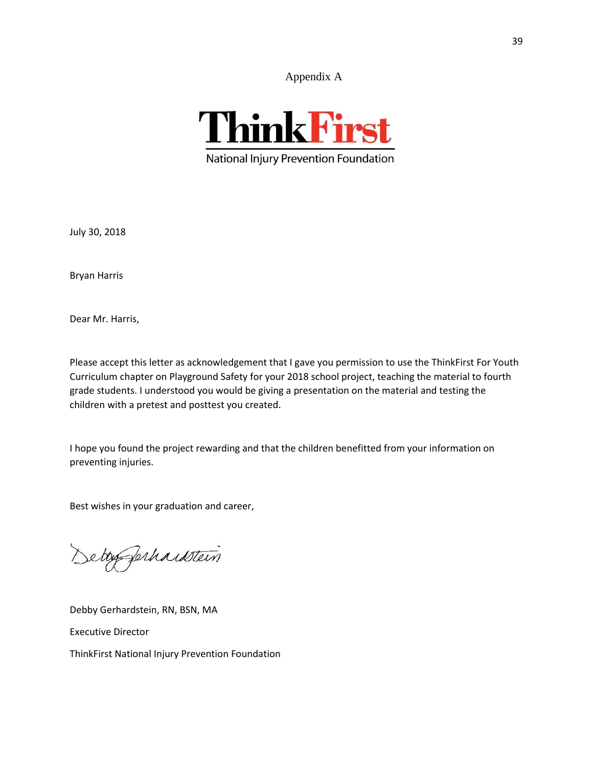Appendix A



July 30, 2018

Bryan Harris

Dear Mr. Harris,

Please accept this letter as acknowledgement that I gave you permission to use the ThinkFirst For Youth Curriculum chapter on Playground Safety for your 2018 school project, teaching the material to fourth grade students. I understood you would be giving a presentation on the material and testing the children with a pretest and posttest you created.

I hope you found the project rewarding and that the children benefitted from your information on preventing injuries.

Best wishes in your graduation and career,

etofferhardstein

Debby Gerhardstein, RN, BSN, MA Executive Director ThinkFirst National Injury Prevention Foundation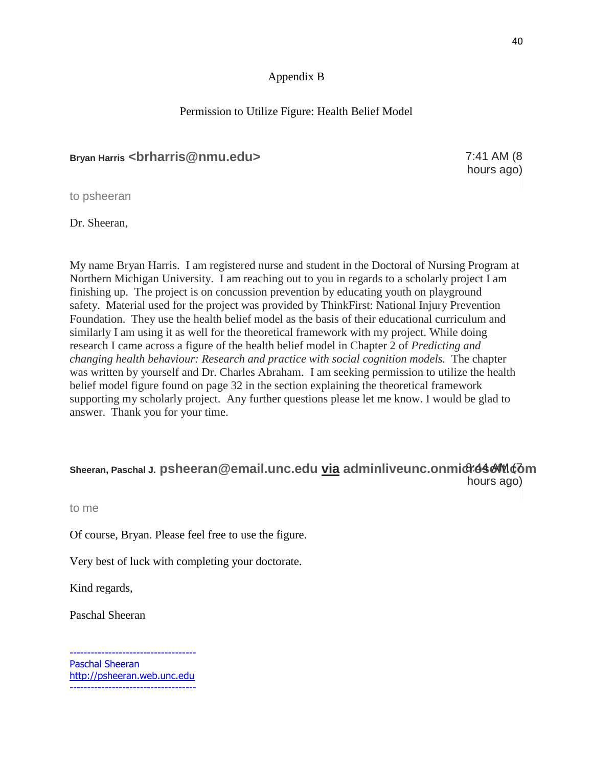### Appendix B

### Permission to Utilize Figure: Health Belief Model

### **Bryan Harris <brharris@nmu.edu>** 7:41 AM (8

hours ago)

to psheeran

Dr. Sheeran,

My name Bryan Harris. I am registered nurse and student in the Doctoral of Nursing Program at Northern Michigan University. I am reaching out to you in regards to a scholarly project I am finishing up. The project is on concussion prevention by educating youth on playground safety. Material used for the project was provided by ThinkFirst: National Injury Prevention Foundation. They use the health belief model as the basis of their educational curriculum and similarly I am using it as well for the theoretical framework with my project. While doing research I came across a figure of the health belief model in Chapter 2 of *Predicting and changing health behaviour: Research and practice with social cognition models.* The chapter was written by yourself and Dr. Charles Abraham. I am seeking permission to utilize the health belief model figure found on page 32 in the section explaining the theoretical framework supporting my scholarly project. Any further questions please let me know. I would be glad to answer. Thank you for your time.

### **Sheeran, Paschal J. psheeran@email.unc.edu [via](https://support.google.com/mail/answer/1311182?hl=en) adminliveunc.onmict:44 AM (76 m**) hours ago)

to me

Of course, Bryan. Please feel free to use the figure.

Very best of luck with completing your doctorate.

Kind regards,

Paschal Sheeran

------------------------------------ Paschal Sheeran [http://psheeran.web.unc.edu](http://psheeran.web.unc.edu/) ------------------------------------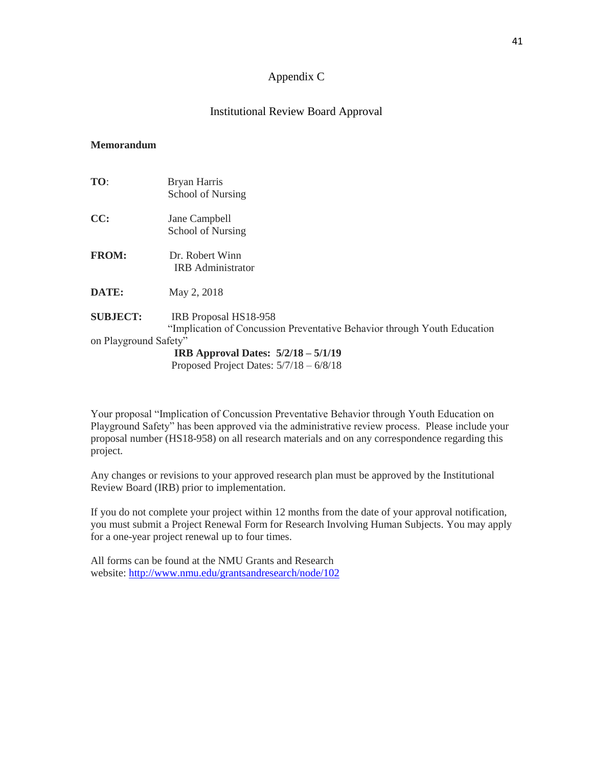#### Appendix C

#### Institutional Review Board Approval

#### **Memorandum**

| TO:                   | Bryan Harris<br>School of Nursing                                                                 |  |  |  |  |
|-----------------------|---------------------------------------------------------------------------------------------------|--|--|--|--|
| CC:                   | Jane Campbell<br>School of Nursing                                                                |  |  |  |  |
| <b>FROM:</b>          | Dr. Robert Winn<br><b>IRB</b> Administrator                                                       |  |  |  |  |
| <b>DATE:</b>          | May 2, 2018                                                                                       |  |  |  |  |
| <b>SUBJECT:</b>       | IRB Proposal HS18-958<br>"Implication of Concussion Preventative Behavior through Youth Education |  |  |  |  |
| on Playground Safety" |                                                                                                   |  |  |  |  |
|                       | IRB Approval Dates: $5/2/18 - 5/1/19$<br>Proposed Project Dates: $5/7/18 - 6/8/18$                |  |  |  |  |

Your proposal "Implication of Concussion Preventative Behavior through Youth Education on Playground Safety" has been approved via the administrative review process. Please include your proposal number (HS18-958) on all research materials and on any correspondence regarding this project.

Any changes or revisions to your approved research plan must be approved by the Institutional Review Board (IRB) prior to implementation.

If you do not complete your project within 12 months from the date of your approval notification, you must submit a Project Renewal Form for Research Involving Human Subjects. You may apply for a one-year project renewal up to four times.

All forms can be found at the NMU Grants and Research website: <http://www.nmu.edu/grantsandresearch/node/102>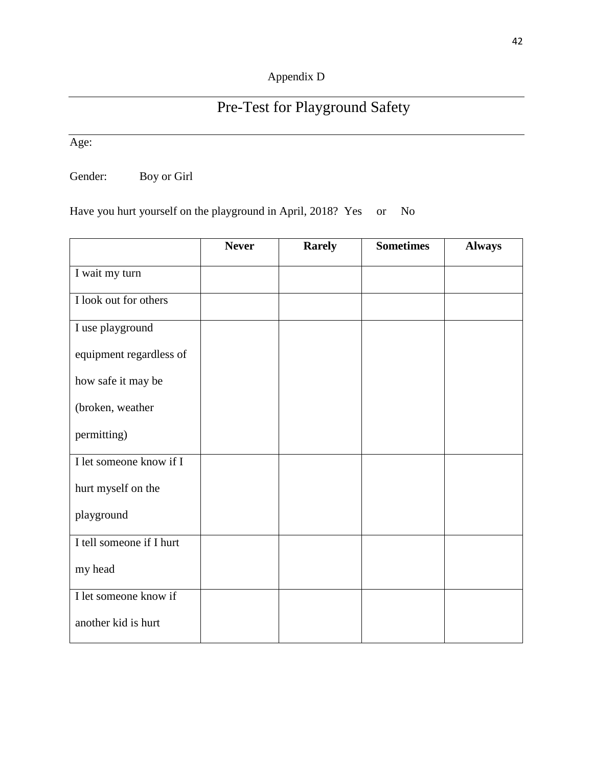# Pre-Test for Playground Safety

Age:

Gender: Boy or Girl

Have you hurt yourself on the playground in April, 2018? Yes or No

|                          | <b>Never</b> | <b>Rarely</b> | <b>Sometimes</b> | <b>Always</b> |
|--------------------------|--------------|---------------|------------------|---------------|
| I wait my turn           |              |               |                  |               |
| I look out for others    |              |               |                  |               |
| I use playground         |              |               |                  |               |
| equipment regardless of  |              |               |                  |               |
| how safe it may be       |              |               |                  |               |
| (broken, weather         |              |               |                  |               |
| permitting)              |              |               |                  |               |
| I let someone know if I  |              |               |                  |               |
| hurt myself on the       |              |               |                  |               |
| playground               |              |               |                  |               |
| I tell someone if I hurt |              |               |                  |               |
| my head                  |              |               |                  |               |
| I let someone know if    |              |               |                  |               |
| another kid is hurt      |              |               |                  |               |